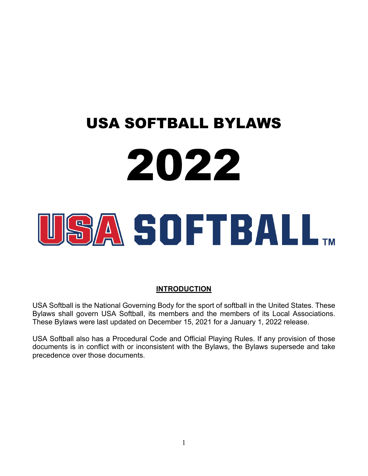# USA SOFTBALL BYLAWS 2022 SA SOFTBALL.

## **INTRODUCTION**

USA Softball is the National Governing Body for the sport of softball in the United States. These Bylaws shall govern USA Softball, its members and the members of its Local Associations. These Bylaws were last updated on December 15, 2021 for a January 1, 2022 release.

USA Softball also has a Procedural Code and Official Playing Rules. If any provision of those documents is in conflict with or inconsistent with the Bylaws, the Bylaws supersede and take precedence over those documents.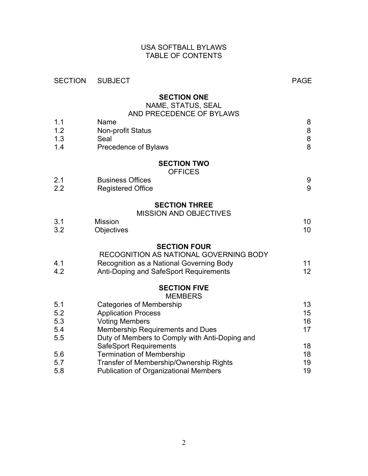## USA SOFTBALL BYLAWS TABLE OF CONTENTS

| <b>SECTION</b> | <b>SUBJECT</b>                                 | <b>PAGE</b> |
|----------------|------------------------------------------------|-------------|
|                | <b>SECTION ONE</b><br>NAME, STATUS, SEAL       |             |
|                | AND PRECEDENCE OF BYLAWS                       |             |
| 1.1            | Name                                           | 8           |
| 1.2            | <b>Non-profit Status</b>                       | 8           |
| 1.3            | Seal                                           | $\,8\,$     |
| 1.4            | Precedence of Bylaws                           | 8           |
|                | <b>SECTION TWO</b>                             |             |
|                | <b>OFFICES</b>                                 |             |
| 2.1            | <b>Business Offices</b>                        | 9           |
| 2.2            | <b>Registered Office</b>                       | 9           |
|                | <b>SECTION THREE</b>                           |             |
|                | <b>MISSION AND OBJECTIVES</b>                  |             |
| 3.1            | <b>Mission</b>                                 | 10          |
| 3.2            | Objectives                                     | 10          |
|                | <b>SECTION FOUR</b>                            |             |
|                | RECOGNITION AS NATIONAL GOVERNING BODY         |             |
| 4.1            | Recognition as a National Governing Body       | 11          |
| 4.2            | Anti-Doping and SafeSport Requirements         | 12          |
|                | <b>SECTION FIVE</b>                            |             |
|                | <b>MEMBERS</b>                                 |             |
| 5.1            | <b>Categories of Membership</b>                | 13          |
| 5.2            | <b>Application Process</b>                     | 15          |
| 5.3            | <b>Voting Members</b>                          | 16          |
| 5.4            | Membership Requirements and Dues               | 17          |
| 5.5            | Duty of Members to Comply with Anti-Doping and |             |
|                | <b>SafeSport Requirements</b>                  | 18          |
| 5.6            | <b>Termination of Membership</b>               | 18          |
| 5.7            | Transfer of Membership/Ownership Rights        | 19          |
| 5.8            | <b>Publication of Organizational Members</b>   | 19          |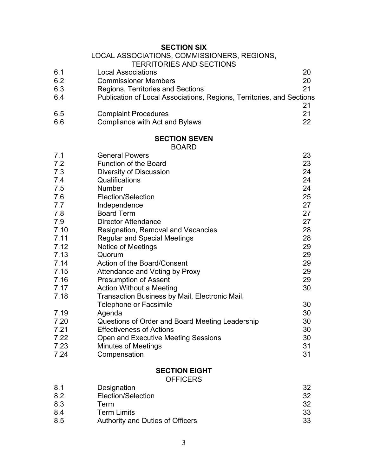**SECTION SIX**

|     | LOCAL ASSOCIATIONS, COMMISSIONERS, REGIONS,                           |    |
|-----|-----------------------------------------------------------------------|----|
|     | <b>TERRITORIES AND SECTIONS</b>                                       |    |
| 6.1 | <b>Local Associations</b>                                             | 20 |
| 6.2 | <b>Commissioner Members</b>                                           | 20 |
| 6.3 | Regions, Territories and Sections                                     | 21 |
| 6.4 | Publication of Local Associations, Regions, Territories, and Sections |    |
|     |                                                                       | 21 |
| 6.5 | <b>Complaint Procedures</b>                                           | 21 |
| 6.6 | Compliance with Act and Bylaws                                        | 22 |
|     |                                                                       |    |

# **SECTION SEVEN**

BOARD

| 7.1  | <b>General Powers</b>                           | 23 |
|------|-------------------------------------------------|----|
| 7.2  | <b>Function of the Board</b>                    | 23 |
| 7.3  | Diversity of Discussion                         | 24 |
| 7.4  | Qualifications                                  | 24 |
| 7.5  | <b>Number</b>                                   | 24 |
| 7.6  | Election/Selection                              | 25 |
| 7.7  | Independence                                    | 27 |
| 7.8  | <b>Board Term</b>                               | 27 |
| 7.9  | <b>Director Attendance</b>                      | 27 |
| 7.10 | Resignation, Removal and Vacancies              | 28 |
| 7.11 | <b>Regular and Special Meetings</b>             | 28 |
| 7.12 | Notice of Meetings                              | 29 |
| 7.13 | Quorum                                          | 29 |
| 7.14 | Action of the Board/Consent                     | 29 |
| 7.15 | Attendance and Voting by Proxy                  | 29 |
| 7.16 | <b>Presumption of Assent</b>                    | 29 |
| 7.17 | <b>Action Without a Meeting</b>                 | 30 |
| 7.18 | Transaction Business by Mail, Electronic Mail,  |    |
|      | Telephone or Facsimile                          | 30 |
| 7.19 | Agenda                                          | 30 |
| 7.20 | Questions of Order and Board Meeting Leadership | 30 |
| 7.21 | <b>Effectiveness of Actions</b>                 | 30 |
| 7.22 | Open and Executive Meeting Sessions             | 30 |
| 7.23 | <b>Minutes of Meetings</b>                      | 31 |
| 7.24 | Compensation                                    | 31 |
|      | <b>SECTION EIGHT</b>                            |    |

**OFFICERS** 

| 8.1 | Designation                      | 32 |
|-----|----------------------------------|----|
| 8.2 | Election/Selection               | 32 |
| 8.3 | Term                             | 32 |
| 8.4 | <b>Term Limits</b>               | 33 |
| 8.5 | Authority and Duties of Officers | 33 |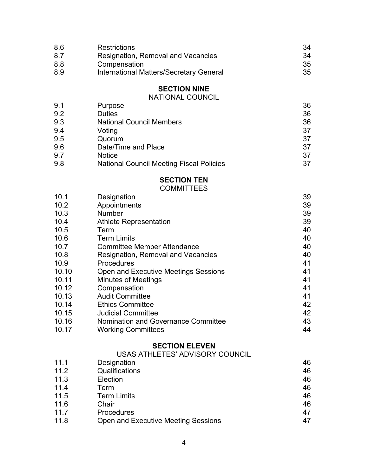| 8.6 | <b>Restrictions</b>                            | 34 |
|-----|------------------------------------------------|----|
| 8.7 | Resignation, Removal and Vacancies             | 34 |
| 8.8 | Compensation                                   | 35 |
| 8.9 | <b>International Matters/Secretary General</b> | 35 |

# **SECTION NINE**

## NATIONAL COUNCIL

| 9.1 | Purpose                                         | 36 |
|-----|-------------------------------------------------|----|
| 9.2 | <b>Duties</b>                                   | 36 |
| 9.3 | <b>National Council Members</b>                 | 36 |
| 9.4 | Voting                                          | 37 |
| 9.5 | Quorum                                          | 37 |
| 9.6 | Date/Time and Place                             | 37 |
| 9.7 | <b>Notice</b>                                   | 37 |
| 9.8 | <b>National Council Meeting Fiscal Policies</b> | 37 |

# **SECTION TEN**

## **COMMITTEES**

| 10.1  | Designation                          | 39 |
|-------|--------------------------------------|----|
| 10.2  | Appointments                         | 39 |
| 10.3  | Number                               | 39 |
| 10.4  | <b>Athlete Representation</b>        | 39 |
| 10.5  | Term                                 | 40 |
| 10.6  | <b>Term Limits</b>                   | 40 |
| 10.7  | <b>Committee Member Attendance</b>   | 40 |
| 10.8  | Resignation, Removal and Vacancies   | 40 |
| 10.9  | <b>Procedures</b>                    | 41 |
| 10.10 | Open and Executive Meetings Sessions | 41 |
| 10.11 | <b>Minutes of Meetings</b>           | 41 |
| 10.12 | Compensation                         | 41 |
| 10.13 | <b>Audit Committee</b>               | 41 |
| 10.14 | <b>Ethics Committee</b>              | 42 |
| 10.15 | <b>Judicial Committee</b>            | 42 |
| 10.16 | Nomination and Governance Committee  | 43 |
| 10.17 | <b>Working Committees</b>            | 44 |

## **SECTION ELEVEN**

## USAS ATHLETES' ADVISORY COUNCIL

| 11.1 | Designation                         | 46 |
|------|-------------------------------------|----|
| 11.2 | Qualifications                      | 46 |
| 11.3 | Election                            | 46 |
| 11.4 | Term                                | 46 |
| 11.5 | <b>Term Limits</b>                  | 46 |
| 11.6 | Chair                               | 46 |
| 11.7 | Procedures                          | 47 |
| 11.8 | Open and Executive Meeting Sessions | 47 |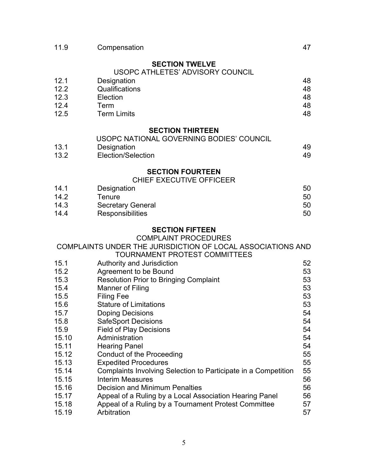| 11.9         | Compensation                                                        | 47       |
|--------------|---------------------------------------------------------------------|----------|
|              | <b>SECTION TWELVE</b><br>USOPC ATHLETES' ADVISORY COUNCIL           |          |
| 12.1         | Designation                                                         | 48       |
| 12.2         | Qualifications                                                      | 48       |
| 12.3<br>12.4 | Election<br>Term                                                    | 48<br>48 |
| 12.5         | <b>Term Limits</b>                                                  | 48       |
|              |                                                                     |          |
|              | <b>SECTION THIRTEEN</b><br>USOPC NATIONAL GOVERNING BODIES' COUNCIL |          |
| 13.1         | Designation                                                         | 49       |
| 13.2         | Election/Selection                                                  | 49       |
|              |                                                                     |          |
|              | <b>SECTION FOURTEEN</b><br>CHIEF EXECUTIVE OFFICEER                 |          |
| 14.1         | Designation                                                         | 50       |
| 14.2         | Tenure                                                              | 50       |
| 14.3         | <b>Secretary General</b>                                            | 50       |
| 14.4         | Responsibilities                                                    | 50       |
|              | <b>SECTION FIFTEEN</b>                                              |          |
|              | <b>COMPLAINT PROCEDURES</b>                                         |          |
|              | COMPLAINTS UNDER THE JURISDICTION OF LOCAL ASSOCIATIONS AND         |          |
|              | TOURNAMENT PROTEST COMMITTEES                                       |          |
| 15.1         | Authority and Jurisdiction                                          | 52       |
| 15.2         | Agreement to be Bound                                               | 53       |
| 15.3         | <b>Resolution Prior to Bringing Complaint</b>                       | 53       |
| 15.4         | Manner of Filing                                                    | 53       |
| 15.5         | <b>Filing Fee</b>                                                   | 53       |
| 15.6<br>15.7 | <b>Stature of Limitations</b>                                       | 53<br>54 |
| 15.8         | <b>Doping Decisions</b><br><b>SafeSport Decisions</b>               | 54       |
| 15.9         | <b>Field of Play Decisions</b>                                      | 54       |
| 15.10        | Administration                                                      | 54       |
| 15.11        | <b>Hearing Panel</b>                                                | 54       |
| 15.12        | <b>Conduct of the Proceeding</b>                                    | 55       |
| 15.13        | <b>Expedited Procedures</b>                                         | 55       |
| 15.14        | Complaints Involving Selection to Participate in a Competition      | 55       |
| 15.15        | <b>Interim Measures</b>                                             | 56       |
| 15.16        | <b>Decision and Minimum Penalties</b>                               | 56       |
| 15.17        | Appeal of a Ruling by a Local Association Hearing Panel             | 56       |
| 15.18        | Appeal of a Ruling by a Tournament Protest Committee                | 57       |
| 15.19        | Arbitration                                                         | 57       |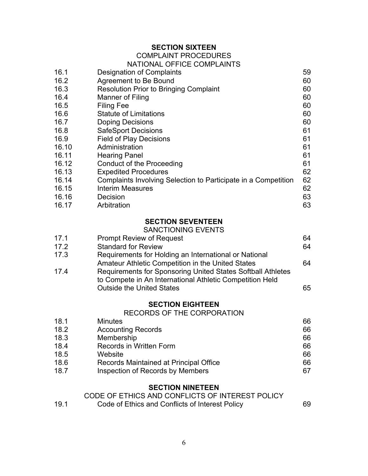# **SECTION SIXTEEN**

## COMPLAINT PROCEDURES

#### NATIONAL OFFICE COMPLAINTS

| 16.1  | Designation of Complaints                                      | 59 |
|-------|----------------------------------------------------------------|----|
| 16.2  | Agreement to Be Bound                                          | 60 |
| 16.3  | <b>Resolution Prior to Bringing Complaint</b>                  | 60 |
| 16.4  | Manner of Filing                                               | 60 |
| 16.5  | <b>Filing Fee</b>                                              | 60 |
| 16.6  | <b>Statute of Limitations</b>                                  | 60 |
| 16.7  | <b>Doping Decisions</b>                                        | 60 |
| 16.8  | <b>SafeSport Decisions</b>                                     | 61 |
| 16.9  | <b>Field of Play Decisions</b>                                 | 61 |
| 16.10 | Administration                                                 | 61 |
| 16.11 | <b>Hearing Panel</b>                                           | 61 |
| 16.12 | Conduct of the Proceeding                                      | 61 |
| 16.13 | <b>Expedited Procedures</b>                                    | 62 |
| 16.14 | Complaints Involving Selection to Participate in a Competition | 62 |
| 16.15 | <b>Interim Measures</b>                                        | 62 |
| 16.16 | Decision                                                       | 63 |
| 16.17 | Arbitration                                                    | 63 |

## **SECTION SEVENTEEN**

## SANCTIONING EVENTS

| 17.1 | <b>Prompt Review of Request</b>                                                                                         | 64 |
|------|-------------------------------------------------------------------------------------------------------------------------|----|
| 17.2 | <b>Standard for Review</b>                                                                                              | 64 |
| 17.3 | Requirements for Holding an International or National                                                                   |    |
|      | Amateur Athletic Competition in the United States                                                                       | 64 |
| 17.4 | Requirements for Sponsoring United States Softball Athletes<br>to Compete in An International Athletic Competition Held |    |
|      | <b>Outside the United States</b>                                                                                        | 65 |

#### **SECTION EIGHTEEN**

#### RECORDS OF THE CORPORATION

| 18.1 | <b>Minutes</b>                          | 66 |
|------|-----------------------------------------|----|
| 18.2 | <b>Accounting Records</b>               | 66 |
| 18.3 | Membership                              | 66 |
| 18.4 | <b>Records in Written Form</b>          | 66 |
| 18.5 | Website                                 | 66 |
| 18.6 | Records Maintained at Principal Office  | 66 |
| 18.7 | <b>Inspection of Records by Members</b> | 67 |

#### **SECTION NINETEEN**

|      | CODE OF ETHICS AND CONFLICTS OF INTEREST POLICY |    |
|------|-------------------------------------------------|----|
| 19.1 | Code of Ethics and Conflicts of Interest Policy | 69 |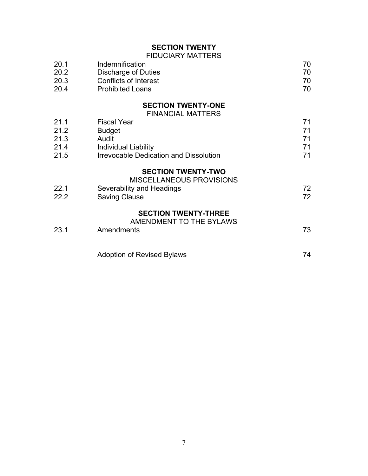# **SECTION TWENTY**

## FIDUCIARY MATTERS

| 20.1 | Indemnification         |     |
|------|-------------------------|-----|
| 20.2 | Discharge of Duties     |     |
| 20.3 | Conflicts of Interest   | 70  |
| 20.4 | <b>Prohibited Loans</b> | 70. |

# **SECTION TWENTY-ONE**

FINANCIAL MATTERS

| 21.1 | <b>Fiscal Year</b>                                           | 71 |
|------|--------------------------------------------------------------|----|
| 21.2 | <b>Budget</b>                                                | 71 |
| 21.3 | Audit                                                        | 71 |
| 21.4 | Individual Liability                                         | 71 |
| 21.5 | <b>Irrevocable Dedication and Dissolution</b>                | 71 |
|      | <b>SECTION TWENTY-TWO</b><br><b>MISCELLANEOUS PROVISIONS</b> |    |
| 22.1 | Severability and Headings                                    | 72 |
| 22.2 | <b>Saving Clause</b>                                         | 72 |
|      | <b>SECTION TWENTY-THREE</b><br>AMENDMENT TO THE BYLAWS       |    |
| 23.1 | Amendments                                                   | 73 |
|      |                                                              |    |

| <b>Adoption of Revised Bylaws</b> |  |
|-----------------------------------|--|
|-----------------------------------|--|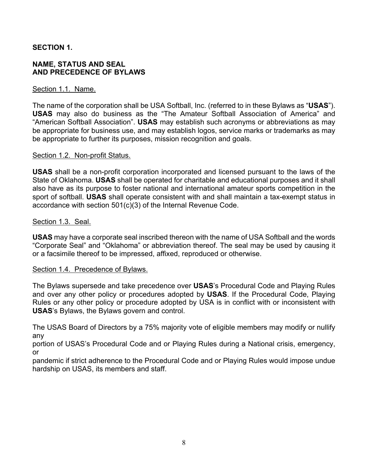## **SECTION 1.**

#### **NAME, STATUS AND SEAL AND PRECEDENCE OF BYLAWS**

#### Section 1.1. Name.

The name of the corporation shall be USA Softball, Inc. (referred to in these Bylaws as "**USAS**"). **USAS** may also do business as the "The Amateur Softball Association of America" and "American Softball Association". **USAS** may establish such acronyms or abbreviations as may be appropriate for business use, and may establish logos, service marks or trademarks as may be appropriate to further its purposes, mission recognition and goals.

#### Section 1.2. Non-profit Status.

**USAS** shall be a non-profit corporation incorporated and licensed pursuant to the laws of the State of Oklahoma. **USAS** shall be operated for charitable and educational purposes and it shall also have as its purpose to foster national and international amateur sports competition in the sport of softball. **USAS** shall operate consistent with and shall maintain a tax-exempt status in accordance with section 501(c)(3) of the Internal Revenue Code.

#### Section 1.3. Seal.

**USAS** may have a corporate seal inscribed thereon with the name of USA Softball and the words "Corporate Seal" and "Oklahoma" or abbreviation thereof. The seal may be used by causing it or a facsimile thereof to be impressed, affixed, reproduced or otherwise.

#### Section 1.4. Precedence of Bylaws.

The Bylaws supersede and take precedence over **USAS**'s Procedural Code and Playing Rules and over any other policy or procedures adopted by **USAS**. If the Procedural Code, Playing Rules or any other policy or procedure adopted by USA is in conflict with or inconsistent with **USAS**'s Bylaws, the Bylaws govern and control.

The USAS Board of Directors by a 75% majority vote of eligible members may modify or nullify any

portion of USAS's Procedural Code and or Playing Rules during a National crisis, emergency, or

pandemic if strict adherence to the Procedural Code and or Playing Rules would impose undue hardship on USAS, its members and staff.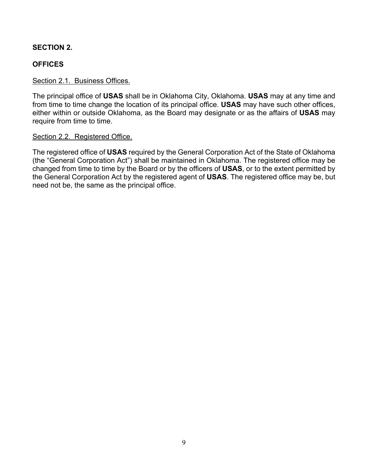## **SECTION 2.**

## **OFFICES**

#### Section 2.1. Business Offices.

The principal office of **USAS** shall be in Oklahoma City, Oklahoma. **USAS** may at any time and from time to time change the location of its principal office. **USAS** may have such other offices, either within or outside Oklahoma, as the Board may designate or as the affairs of **USAS** may require from time to time.

#### Section 2.2. Registered Office.

The registered office of **USAS** required by the General Corporation Act of the State of Oklahoma (the "General Corporation Act") shall be maintained in Oklahoma. The registered office may be changed from time to time by the Board or by the officers of **USAS**, or to the extent permitted by the General Corporation Act by the registered agent of **USAS**. The registered office may be, but need not be, the same as the principal office.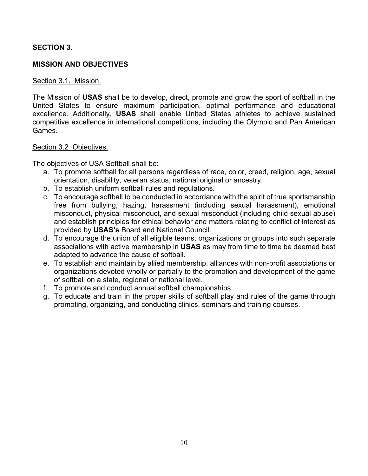## **SECTION 3.**

## **MISSION AND OBJECTIVES**

#### Section 3.1. Mission.

The Mission of **USAS** shall be to develop, direct, promote and grow the sport of softball in the United States to ensure maximum participation, optimal performance and educational excellence. Additionally, **USAS** shall enable United States athletes to achieve sustained competitive excellence in international competitions, including the Olympic and Pan American Games.

#### Section 3.2 Objectives.

The objectives of USA Softball shall be:

- a. To promote softball for all persons regardless of race, color, creed, religion, age, sexual orientation, disability, veteran status, national original or ancestry.
- b. To establish uniform softball rules and regulations.
- c. To encourage softball to be conducted in accordance with the spirit of true sportsmanship free from bullying, hazing, harassment (including sexual harassment), emotional misconduct, physical misconduct, and sexual misconduct (including child sexual abuse) and establish principles for ethical behavior and matters relating to conflict of interest as provided by **USAS's** Board and National Council.
- d. To encourage the union of all eligible teams, organizations or groups into such separate associations with active membership in **USAS** as may from time to time be deemed best adapted to advance the cause of softball.
- e. To establish and maintain by allied membership, alliances with non-profit associations or organizations devoted wholly or partially to the promotion and development of the game of softball on a state, regional or national level.
- f. To promote and conduct annual softball championships.
- g. To educate and train in the proper skills of softball play and rules of the game through promoting, organizing, and conducting clinics, seminars and training courses.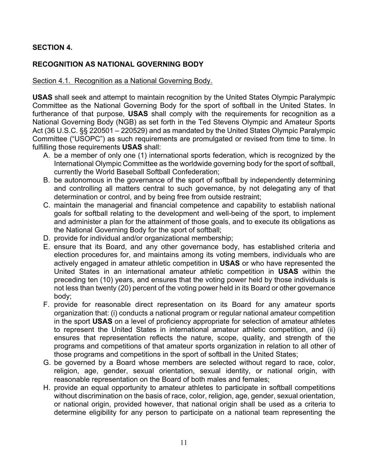## **SECTION 4.**

## **RECOGNITION AS NATIONAL GOVERNING BODY**

#### Section 4.1. Recognition as a National Governing Body.

**USAS** shall seek and attempt to maintain recognition by the United States Olympic Paralympic Committee as the National Governing Body for the sport of softball in the United States. In furtherance of that purpose, **USAS** shall comply with the requirements for recognition as a National Governing Body (NGB) as set forth in the Ted Stevens Olympic and Amateur Sports Act (36 U.S.C. §§ 220501 – 220529) and as mandated by the United States Olympic Paralympic Committee ("USOPC") as such requirements are promulgated or revised from time to time. In fulfilling those requirements **USAS** shall:

- A. be a member of only one (1) international sports federation, which is recognized by the International Olympic Committee as the worldwide governing body for the sport of softball, currently the World Baseball Softball Confederation;
- B. be autonomous in the governance of the sport of softball by independently determining and controlling all matters central to such governance, by not delegating any of that determination or control, and by being free from outside restraint;
- C. maintain the managerial and financial competence and capability to establish national goals for softball relating to the development and well-being of the sport, to implement and administer a plan for the attainment of those goals, and to execute its obligations as the National Governing Body for the sport of softball;
- D. provide for individual and/or organizational membership;
- E. ensure that its Board, and any other governance body, has established criteria and election procedures for, and maintains among its voting members, individuals who are actively engaged in amateur athletic competition in **USAS** or who have represented the United States in an international amateur athletic competition in **USAS** within the preceding ten (10) years, and ensures that the voting power held by those individuals is not less than twenty (20) percent of the voting power held in its Board or other governance body;
- F. provide for reasonable direct representation on its Board for any amateur sports organization that: (i) conducts a national program or regular national amateur competition in the sport **USAS** on a level of proficiency appropriate for selection of amateur athletes to represent the United States in international amateur athletic competition, and (ii) ensures that representation reflects the nature, scope, quality, and strength of the programs and competitions of that amateur sports organization in relation to all other of those programs and competitions in the sport of softball in the United States;
- G. be governed by a Board whose members are selected without regard to race, color, religion, age, gender, sexual orientation, sexual identity, or national origin, with reasonable representation on the Board of both males and females;
- H. provide an equal opportunity to amateur athletes to participate in softball competitions without discrimination on the basis of race, color, religion, age, gender, sexual orientation, or national origin, provided however, that national origin shall be used as a criteria to determine eligibility for any person to participate on a national team representing the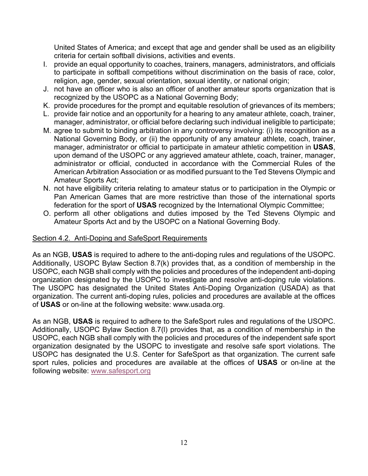United States of America; and except that age and gender shall be used as an eligibility criteria for certain softball divisions, activities and events.

- I. provide an equal opportunity to coaches, trainers, managers, administrators, and officials to participate in softball competitions without discrimination on the basis of race, color, religion, age, gender, sexual orientation, sexual identity, or national origin;
- J. not have an officer who is also an officer of another amateur sports organization that is recognized by the USOPC as a National Governing Body;
- K. provide procedures for the prompt and equitable resolution of grievances of its members;
- L. provide fair notice and an opportunity for a hearing to any amateur athlete, coach, trainer, manager, administrator, or official before declaring such individual ineligible to participate;
- M. agree to submit to binding arbitration in any controversy involving: (i) its recognition as a National Governing Body, or (ii) the opportunity of any amateur athlete, coach, trainer, manager, administrator or official to participate in amateur athletic competition in **USAS**, upon demand of the USOPC or any aggrieved amateur athlete, coach, trainer, manager, administrator or official, conducted in accordance with the Commercial Rules of the American Arbitration Association or as modified pursuant to the Ted Stevens Olympic and Amateur Sports Act;
- N. not have eligibility criteria relating to amateur status or to participation in the Olympic or Pan American Games that are more restrictive than those of the international sports federation for the sport of **USAS** recognized by the International Olympic Committee;
- O. perform all other obligations and duties imposed by the Ted Stevens Olympic and Amateur Sports Act and by the USOPC on a National Governing Body.

#### Section 4.2. Anti-Doping and SafeSport Requirements

As an NGB, **USAS** is required to adhere to the anti-doping rules and regulations of the USOPC. Additionally, USOPC Bylaw Section 8.7(k) provides that, as a condition of membership in the USOPC, each NGB shall comply with the policies and procedures of the independent anti-doping organization designated by the USOPC to investigate and resolve anti-doping rule violations. The USOPC has designated the United States Anti-Doping Organization (USADA) as that organization. The current anti-doping rules, policies and procedures are available at the offices of **USAS** or on-line at the following website: www.usada.org.

As an NGB, **USAS** is required to adhere to the SafeSport rules and regulations of the USOPC. Additionally, USOPC Bylaw Section 8.7(l) provides that, as a condition of membership in the USOPC, each NGB shall comply with the policies and procedures of the independent safe sport organization designated by the USOPC to investigate and resolve safe sport violations. The USOPC has designated the U.S. Center for SafeSport as that organization. The current safe sport rules, policies and procedures are available at the offices of **USAS** or on-line at the following website: www.safesport.org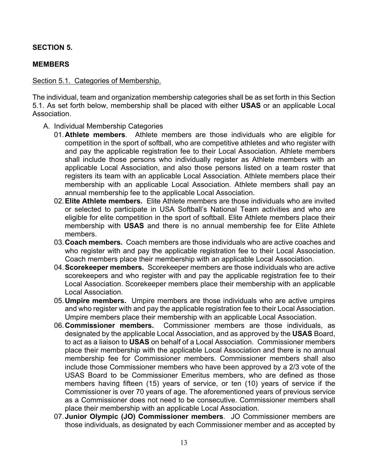## **SECTION 5.**

## **MEMBERS**

#### Section 5.1. Categories of Membership.

The individual, team and organization membership categories shall be as set forth in this Section 5.1. As set forth below, membership shall be placed with either **USAS** or an applicable Local Association.

- A. Individual Membership Categories
	- 01.**Athlete members**. Athlete members are those individuals who are eligible for competition in the sport of softball, who are competitive athletes and who register with and pay the applicable registration fee to their Local Association. Athlete members shall include those persons who individually register as Athlete members with an applicable Local Association, and also those persons listed on a team roster that registers its team with an applicable Local Association. Athlete members place their membership with an applicable Local Association. Athlete members shall pay an annual membership fee to the applicable Local Association.
	- 02.**Elite Athlete members.** Elite Athlete members are those individuals who are invited or selected to participate in USA Softball's National Team activities and who are eligible for elite competition in the sport of softball. Elite Athlete members place their membership with **USAS** and there is no annual membership fee for Elite Athlete members.
	- 03.**Coach members.** Coach members are those individuals who are active coaches and who register with and pay the applicable registration fee to their Local Association. Coach members place their membership with an applicable Local Association.
	- 04.**Scorekeeper members.** Scorekeeper members are those individuals who are active scorekeepers and who register with and pay the applicable registration fee to their Local Association. Scorekeeper members place their membership with an applicable Local Association.
	- 05.**Umpire members.** Umpire members are those individuals who are active umpires and who register with and pay the applicable registration fee to their Local Association. Umpire members place their membership with an applicable Local Association.
	- 06.**Commissioner members.** Commissioner members are those individuals, as designated by the applicable Local Association, and as approved by the **USAS** Board, to act as a liaison to **USAS** on behalf of a Local Association. Commissioner members place their membership with the applicable Local Association and there is no annual membership fee for Commissioner members. Commissioner members shall also include those Commissioner members who have been approved by a 2/3 vote of the USAS Board to be Commissioner Emeritus members, who are defined as those members having fifteen (15) years of service, or ten (10) years of service if the Commissioner is over 70 years of age. The aforementioned years of previous service as a Commissioner does not need to be consecutive. Commissioner members shall place their membership with an applicable Local Association.
	- 07.**Junior Olympic (JO) Commissioner members**. JO Commissioner members are those individuals, as designated by each Commissioner member and as accepted by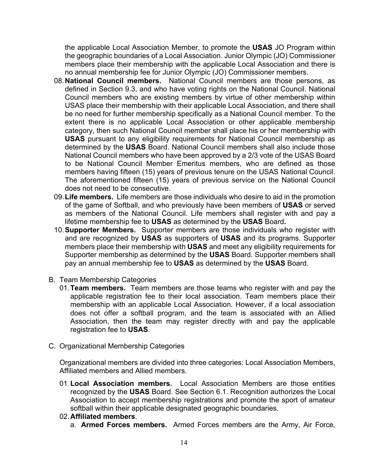the applicable Local Association Member, to promote the **USAS** JO Program within the geographic boundaries of a Local Association. Junior Olympic (JO) Commissioner members place their membership with the applicable Local Association and there is no annual membership fee for Junior Olympic (JO) Commissioner members.

- 08.**National Council members.** National Council members are those persons, as defined in Section 9.3, and who have voting rights on the National Council. National Council members who are existing members by virtue of other membership within USAS place their membership with their applicable Local Association, and there shall be no need for further membership specifically as a National Council member. To the extent there is no applicable Local Association or other applicable membership category, then such National Council member shall place his or her membership with **USAS** pursuant to any eligibility requirements for National Council membership as determined by the **USAS** Board. National Council members shall also include those National Council members who have been approved by a 2/3 vote of the USAS Board to be National Council Member Emeritus members, who are defined as those members having fifteen (15) years of previous tenure on the USAS National Council. The aforementioned fifteen (15) years of previous service on the National Council does not need to be consecutive.
- 09.**Life members.** Life members are those individuals who desire to aid in the promotion of the game of Softball, and who previously have been members of **USAS** or served as members of the National Council. Life members shall register with and pay a lifetime membership fee to **USAS** as determined by the **USAS** Board**.**
- 10.**Supporter Members.** Supporter members are those individuals who register with and are recognized by **USAS** as supporters of **USAS** and its programs. Supporter members place their membership with **USAS** and meet any eligibility requirements for Supporter membership as determined by the **USAS** Board. Supporter members shall pay an annual membership fee to **USAS** as determined by the **USAS** Board.
- B. Team Membership Categories
	- 01.**Team members.** Team members are those teams who register with and pay the applicable registration fee to their local association. Team members place their membership with an applicable Local Association. However, if a local association does not offer a softball program, and the team is associated with an Allied Association, then the team may register directly with and pay the applicable registration fee to **USAS**.
- C. Organizational Membership Categories

Organizational members are divided into three categories: Local Association Members, Affiliated members and Allied members.

- 01.**Local Association members.** Local Association Members are those entities recognized by the **USAS** Board. See Section 6.1. Recognition authorizes the Local Association to accept membership registrations and promote the sport of amateur softball within their applicable designated geographic boundaries.
- 02.**Affiliated members**.
	- a. **Armed Forces members.** Armed Forces members are the Army, Air Force,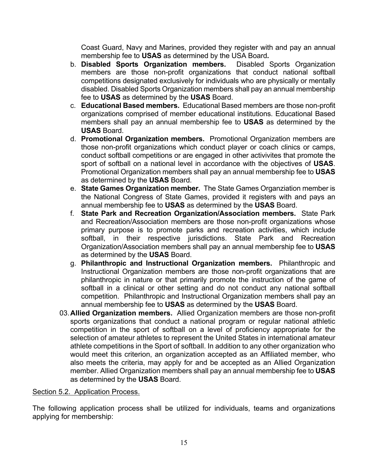Coast Guard, Navy and Marines, provided they register with and pay an annual membership fee to **USAS** as determined by the USA Board**.**

- b. **Disabled Sports Organization members.** Disabled Sports Organization members are those non-profit organizations that conduct national softball competitions designated exclusively for individuals who are physically or mentally disabled. Disabled Sports Organization members shall pay an annual membership fee to **USAS** as determined by the **USAS** Board.
- c. **Educational Based members.** Educational Based members are those non-profit organizations comprised of member educational institutions. Educational Based members shall pay an annual membership fee to **USAS** as determined by the **USAS** Board.
- d. **Promotional Organization members.** Promotional Organization members are those non-profit organizations which conduct player or coach clinics or camps, conduct softball competitions or are engaged in other activivites that promote the sport of softball on a national level in accordance with the objectives of **USAS**. Promotional Organization members shall pay an annual membership fee to **USAS** as determined by the **USAS** Board.
- e. **State Games Organization member.** The State Games Organziation member is the National Congress of State Games, provided it registers with and pays an annual membership fee to **USAS** as determined by the **USAS** Board.
- f. **State Park and Recreation Organization/Association members.** State Park and Recreation/Association members are those non-profit organizations whose primary purpose is to promote parks and recreation activities, which include softball, in their respective jurisdictions. State Park and Recreation Organization/Association members shall pay an annual membership fee to **USAS** as determined by the **USAS** Board.
- g. **Philanthropic and Instructional Organization members.** Philanthropic and Instructional Organization members are those non-profit organizations that are philanthropic in nature or that primarily promote the instruction of the game of softball in a clinical or other setting and do not conduct any national softball competition. Philanthropic and Instructional Organization members shall pay an annual membership fee to **USAS** as determined by the **USAS** Board.
- 03.**Allied Organization members.** Allied Organization members are those non-profit sports organizations that conduct a national program or regular national athletic competition in the sport of softball on a level of proficiency appropriate for the selection of amateur athletes to represent the United States in international amateur athlete competitions in the Sport of softball. In addition to any other organization who would meet this criterion, an organization accepted as an Affiliated member, who also meets the criteria, may apply for and be accepted as an Allied Organization member. Allied Organization members shall pay an annual membership fee to **USAS** as determined by the **USAS** Board.

#### Section 5.2. Application Process.

The following application process shall be utilized for individuals, teams and organizations applying for membership: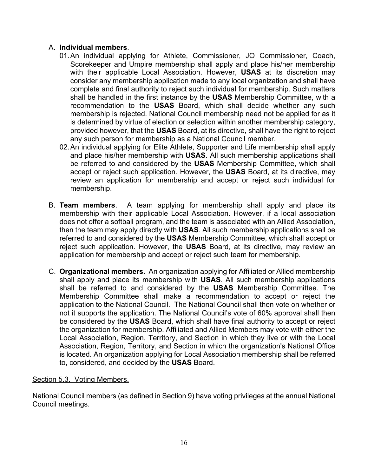## A. **Individual members**.

- 01.An individual applying for Athlete, Commissioner, JO Commissioner, Coach, Scorekeeper and Umpire membership shall apply and place his/her membership with their applicable Local Association. However, **USAS** at its discretion may consider any membership application made to any local organization and shall have complete and final authority to reject such individual for membership. Such matters shall be handled in the first instance by the **USAS** Membership Committee, with a recommendation to the **USAS** Board, which shall decide whether any such membership is rejected. National Council membership need not be applied for as it is determined by virtue of election or selection within another membership category, provided however, that the **USAS** Board, at its directive, shall have the right to reject any such person for membership as a National Council member.
- 02.An individual applying for Elite Athlete, Supporter and Life membership shall apply and place his/her membership with **USAS**. All such membership applications shall be referred to and considered by the **USAS** Membership Committee, which shall accept or reject such application. However, the **USAS** Board, at its directive, may review an application for membership and accept or reject such individual for membership.
- B. **Team members**. A team applying for membership shall apply and place its membership with their applicable Local Association. However, if a local association does not offer a softball program, and the team is associated with an Allied Association, then the team may apply directly with **USAS**. All such membership applications shall be referred to and considered by the **USAS** Membership Committee, which shall accept or reject such application. However, the **USAS** Board, at its directive, may review an application for membership and accept or reject such team for membership.
- C. **Organizational members.** An organization applying for Affiliated or Allied membership shall apply and place its membership with **USAS**. All such membership applications shall be referred to and considered by the **USAS** Membership Committee. The Membership Committee shall make a recommendation to accept or reject the application to the National Council. The National Council shall then vote on whether or not it supports the application. The National Council's vote of 60% approval shall then be considered by the **USAS** Board, which shall have final authority to accept or reject the organization for membership. Affiliated and Allied Members may vote with either the Local Association, Region, Territory, and Section in which they live or with the Local Association, Region, Territory, and Section in which the organization's National Office is located. An organization applying for Local Association membership shall be referred to, considered, and decided by the **USAS** Board.

#### Section 5.3. Voting Members.

National Council members (as defined in Section 9) have voting privileges at the annual National Council meetings.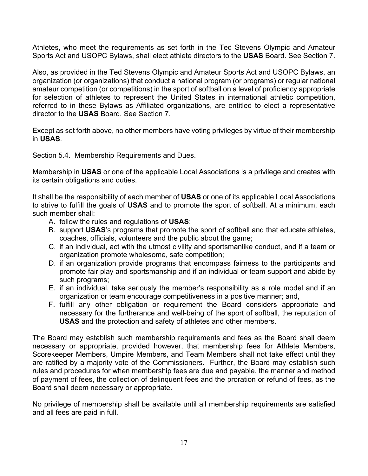Athletes, who meet the requirements as set forth in the Ted Stevens Olympic and Amateur Sports Act and USOPC Bylaws, shall elect athlete directors to the **USAS** Board. See Section 7.

Also, as provided in the Ted Stevens Olympic and Amateur Sports Act and USOPC Bylaws, an organization (or organizations) that conduct a national program (or programs) or regular national amateur competition (or competitions) in the sport of softball on a level of proficiency appropriate for selection of athletes to represent the United States in international athletic competition, referred to in these Bylaws as Affiliated organizations, are entitled to elect a representative director to the **USAS** Board. See Section 7.

Except as set forth above, no other members have voting privileges by virtue of their membership in **USAS**.

## Section 5.4. Membership Requirements and Dues.

Membership in **USAS** or one of the applicable Local Associations is a privilege and creates with its certain obligations and duties.

It shall be the responsibility of each member of **USAS** or one of its applicable Local Associations to strive to fulfill the goals of **USAS** and to promote the sport of softball. At a minimum, each such member shall:

- A. follow the rules and regulations of **USAS**;
- B. support **USAS**'s programs that promote the sport of softball and that educate athletes, coaches, officials, volunteers and the public about the game;
- C. if an individual, act with the utmost civility and sportsmanlike conduct, and if a team or organization promote wholesome, safe competition;
- D. if an organization provide programs that encompass fairness to the participants and promote fair play and sportsmanship and if an individual or team support and abide by such programs;
- E. if an individual, take seriously the member's responsibility as a role model and if an organization or team encourage competitiveness in a positive manner; and,
- F. fulfill any other obligation or requirement the Board considers appropriate and necessary for the furtherance and well-being of the sport of softball, the reputation of **USAS** and the protection and safety of athletes and other members.

The Board may establish such membership requirements and fees as the Board shall deem necessary or appropriate, provided however, that membership fees for Athlete Members, Scorekeeper Members, Umpire Members, and Team Members shall not take effect until they are ratified by a majority vote of the Commissioners. Further, the Board may establish such rules and procedures for when membership fees are due and payable, the manner and method of payment of fees, the collection of delinquent fees and the proration or refund of fees, as the Board shall deem necessary or appropriate.

No privilege of membership shall be available until all membership requirements are satisfied and all fees are paid in full.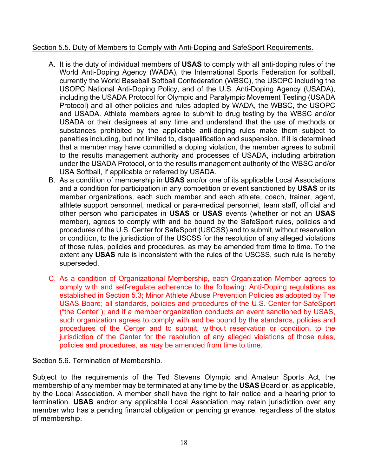## Section 5.5. Duty of Members to Comply with Anti-Doping and SafeSport Requirements.

- A. It is the duty of individual members of **USAS** to comply with all anti-doping rules of the World Anti-Doping Agency (WADA), the International Sports Federation for softball, currently the World Baseball Softball Confederation (WBSC), the USOPC including the USOPC National Anti-Doping Policy, and of the U.S. Anti-Doping Agency (USADA), including the USADA Protocol for Olympic and Paralympic Movement Testing (USADA Protocol) and all other policies and rules adopted by WADA, the WBSC, the USOPC and USADA. Athlete members agree to submit to drug testing by the WBSC and/or USADA or their designees at any time and understand that the use of methods or substances prohibited by the applicable anti-doping rules make them subject to penalties including, but not limited to, disqualification and suspension. If it is determined that a member may have committed a doping violation, the member agrees to submit to the results management authority and processes of USADA, including arbitration under the USADA Protocol, or to the results management authority of the WBSC and/or USA Softball, if applicable or referred by USADA.
- B. As a condition of membership in **USAS** and/or one of its applicable Local Associations and a condition for participation in any competition or event sanctioned by **USAS** or its member organizations, each such member and each athlete, coach, trainer, agent, athlete support personnel, medical or para-medical personnel, team staff, official and other person who participates in **USAS** or **USAS** events (whether or not an **USAS** member), agrees to comply with and be bound by the SafeSport rules, policies and procedures of the U.S. Center for SafeSport (USCSS) and to submit, without reservation or condition, to the jurisdiction of the USCSS for the resolution of any alleged violations of those rules, policies and procedures, as may be amended from time to time. To the extent any **USAS** rule is inconsistent with the rules of the USCSS, such rule is hereby superseded.
- C. As a condition of Organizational Membership, each Organization Member agrees to comply with and self-regulate adherence to the following: Anti-Doping regulations as established in Section 5.3; Minor Athlete Abuse Prevention Policies as adopted by The USAS Board; all standards, policies and procedures of the U.S. Center for SafeSport ("the Center"); and if a member organization conducts an event sanctioned by USAS, such organization agrees to comply with and be bound by the standards, policies and procedures of the Center and to submit, without reservation or condition, to the jurisdiction of the Center for the resolution of any alleged violations of those rules, policies and procedures, as may be amended from time to time.

## Section 5.6. Termination of Membership.

Subject to the requirements of the Ted Stevens Olympic and Amateur Sports Act, the membership of any member may be terminated at any time by the **USAS** Board or, as applicable, by the Local Association. A member shall have the right to fair notice and a hearing prior to termination. **USAS** and/or any applicable Local Association may retain jurisdiction over any member who has a pending financial obligation or pending grievance, regardless of the status of membership.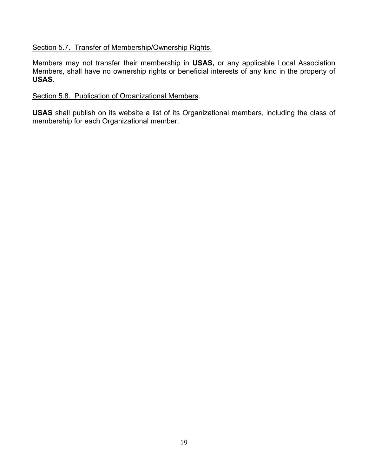## Section 5.7. Transfer of Membership/Ownership Rights.

Members may not transfer their membership in **USAS,** or any applicable Local Association Members, shall have no ownership rights or beneficial interests of any kind in the property of **USAS**.

#### Section 5.8. Publication of Organizational Members.

**USAS** shall publish on its website a list of its Organizational members, including the class of membership for each Organizational member.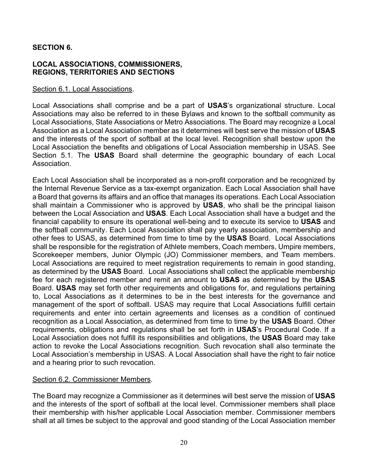## **SECTION 6.**

#### **LOCAL ASSOCIATIONS, COMMISSIONERS, REGIONS, TERRITORIES AND SECTIONS**

#### Section 6.1. Local Associations.

Local Associations shall comprise and be a part of **USAS**'s organizational structure. Local Associations may also be referred to in these Bylaws and known to the softball community as Local Associations, State Associations or Metro Associations. The Board may recognize a Local Association as a Local Association member as it determines will best serve the mission of **USAS** and the interests of the sport of softball at the local level. Recognition shall bestow upon the Local Association the benefits and obligations of Local Association membership in USAS. See Section 5.1. The **USAS** Board shall determine the geographic boundary of each Local Association.

Each Local Association shall be incorporated as a non-profit corporation and be recognized by the Internal Revenue Service as a tax-exempt organization. Each Local Association shall have a Board that governs its affairs and an office that manages its operations. Each Local Association shall maintain a Commissioner who is approved by **USAS**, who shall be the principal liaison between the Local Association and **USAS**. Each Local Association shall have a budget and the financial capability to ensure its operational well-being and to execute its service to **USAS** and the softball community. Each Local Association shall pay yearly association, membership and other fees to USAS, as determined from time to time by the **USAS** Board. Local Associations shall be responsible for the registration of Athlete members, Coach members, Umpire members, Scorekeeper members, Junior Olympic (JO) Commissioner members, and Team members. Local Associations are required to meet registration requirements to remain in good standing, as determined by the **USAS** Board. Local Associations shall collect the applicable membership fee for each registered member and remit an amount to **USAS** as determined by the **USAS** Board. **USAS** may set forth other requirements and obligations for, and regulations pertaining to, Local Associations as it determines to be in the best interests for the governance and management of the sport of softball. USAS may require that Local Associations fulfill certain requirements and enter into certain agreements and licenses as a condition of continued recognition as a Local Association, as determined from time to time by the **USAS** Board. Other requirements, obligations and regulations shall be set forth in **USAS**'s Procedural Code. If a Local Association does not fulfill its responsibilities and obligations, the **USAS** Board may take action to revoke the Local Associations recognition. Such revocation shall also terminate the Local Association's membership in USAS. A Local Association shall have the right to fair notice and a hearing prior to such revocation.

#### Section 6.2. Commissioner Members.

The Board may recognize a Commissioner as it determines will best serve the mission of **USAS** and the interests of the sport of softball at the local level. Commissioner members shall place their membership with his/her applicable Local Association member. Commissioner members shall at all times be subject to the approval and good standing of the Local Association member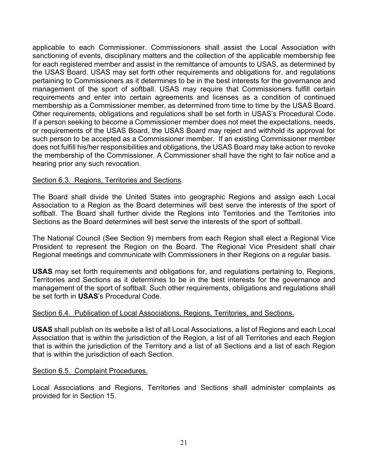applicable to each Commissioner. Commissioners shall assist the Local Association with sanctioning of events, disciplinary matters and the collection of the applicable membership fee for each registered member and assist in the remittance of amounts to USAS, as determined by the USAS Board. USAS may set forth other requirements and obligations for, and regulations pertaining to Commissioners as it determines to be in the best interests for the governance and management of the sport of softball. USAS may require that Commissioners fulfill certain requirements and enter into certain agreements and licenses as a condition of continued membership as a Commissioner member, as determined from time to time by the USAS Board. Other requirements, obligations and regulations shall be set forth in USAS's Procedural Code. If a person seeking to become a Commissioner member does not meet the expectations, needs, or requirements of the USAS Board, the USAS Board may reject and withhold its approval for such person to be accepted as a Commissioner member. If an existing Commissioner member does not fulfill his/her responsibilities and obligations, the USAS Board may take action to revoke the membership of the Commissioner. A Commissioner shall have the right to fair notice and a hearing prior any such revocation.

## Section 6.3. Regions, Territories and Sections.

The Board shall divide the United States into geographic Regions and assign each Local Association to a Region as the Board determines will best serve the interests of the sport of softball. The Board shall further divide the Regions into Territories and the Territories into Sections as the Board determines will best serve the interests of the sport of softball.

The National Council (See Section 9) members from each Region shall elect a Regional Vice President to represent the Region on the Board. The Regional Vice President shall chair Regional meetings and communicate with Commissioners in their Regions on a regular basis.

**USAS** may set forth requirements and obligations for, and regulations pertaining to, Regions, Territories and Sections as it determines to be in the best interests for the governance and management of the sport of softball. Such other requirements, obligations and regulations shall be set forth in **USAS**'s Procedural Code.

#### Section 6.4. Publication of Local Associations, Regions, Territories, and Sections.

**USAS** shall publish on its website a list of all Local Associations, a list of Regions and each Local Association that is within the jurisdiction of the Region, a list of all Territories and each Region that is within the jurisdiction of the Territory and a list of all Sections and a list of each Region that is within the jurisdiction of each Section.

#### Section 6.5. Complaint Procedures.

Local Associations and Regions, Territories and Sections shall administer complaints as provided for in Section 15.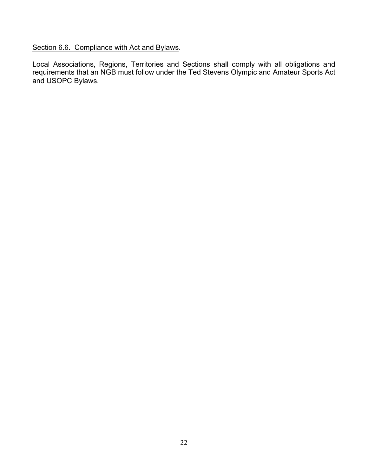Section 6.6. Compliance with Act and Bylaws.

Local Associations, Regions, Territories and Sections shall comply with all obligations and requirements that an NGB must follow under the Ted Stevens Olympic and Amateur Sports Act and USOPC Bylaws.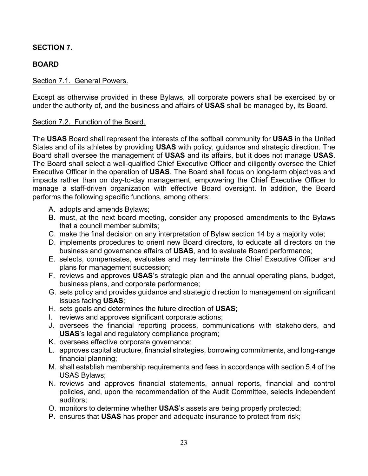## **SECTION 7.**

# **BOARD**

## Section 7.1. General Powers.

Except as otherwise provided in these Bylaws, all corporate powers shall be exercised by or under the authority of, and the business and affairs of **USAS** shall be managed by, its Board.

## Section 7.2. Function of the Board.

The **USAS** Board shall represent the interests of the softball community for **USAS** in the United States and of its athletes by providing **USAS** with policy, guidance and strategic direction. The Board shall oversee the management of **USAS** and its affairs, but it does not manage **USAS**. The Board shall select a well-qualified Chief Executive Officer and diligently oversee the Chief Executive Officer in the operation of **USAS**. The Board shall focus on long-term objectives and impacts rather than on day-to-day management, empowering the Chief Executive Officer to manage a staff-driven organization with effective Board oversight. In addition, the Board performs the following specific functions, among others:

- A. adopts and amends Bylaws;
- B. must, at the next board meeting, consider any proposed amendments to the Bylaws that a council member submits;
- C. make the final decision on any interpretation of Bylaw section 14 by a majority vote;
- D. implements procedures to orient new Board directors, to educate all directors on the business and governance affairs of **USAS**, and to evaluate Board performance;
- E. selects, compensates, evaluates and may terminate the Chief Executive Officer and plans for management succession;
- F. reviews and approves **USAS**'s strategic plan and the annual operating plans, budget, business plans, and corporate performance;
- G. sets policy and provides guidance and strategic direction to management on significant issues facing **USAS**;
- H. sets goals and determines the future direction of **USAS**;
- I. reviews and approves significant corporate actions;
- J. oversees the financial reporting process, communications with stakeholders, and **USAS**'s legal and regulatory compliance program;
- K. oversees effective corporate governance;
- L. approves capital structure, financial strategies, borrowing commitments, and long-range financial planning;
- M. shall establish membership requirements and fees in accordance with section 5.4 of the USAS Bylaws;
- N. reviews and approves financial statements, annual reports, financial and control policies, and, upon the recommendation of the Audit Committee, selects independent auditors;
- O. monitors to determine whether **USAS**'s assets are being properly protected;
- P. ensures that **USAS** has proper and adequate insurance to protect from risk;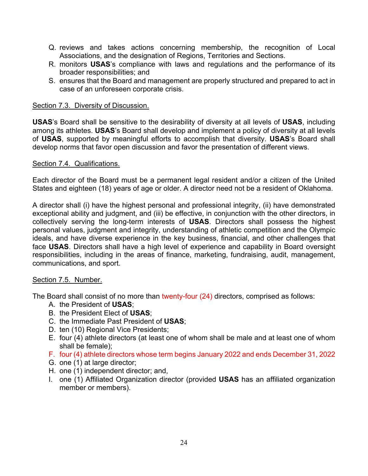- Q. reviews and takes actions concerning membership, the recognition of Local Associations, and the designation of Regions, Territories and Sections.
- R. monitors **USAS**'s compliance with laws and regulations and the performance of its broader responsibilities; and
- S. ensures that the Board and management are properly structured and prepared to act in case of an unforeseen corporate crisis.

## Section 7.3. Diversity of Discussion.

**USAS**'s Board shall be sensitive to the desirability of diversity at all levels of **USAS**, including among its athletes. **USAS**'s Board shall develop and implement a policy of diversity at all levels of **USAS**, supported by meaningful efforts to accomplish that diversity. **USAS**'s Board shall develop norms that favor open discussion and favor the presentation of different views.

#### Section 7.4. Qualifications.

Each director of the Board must be a permanent legal resident and/or a citizen of the United States and eighteen (18) years of age or older. A director need not be a resident of Oklahoma.

A director shall (i) have the highest personal and professional integrity, (ii) have demonstrated exceptional ability and judgment, and (iii) be effective, in conjunction with the other directors, in collectively serving the long-term interests of **USAS**. Directors shall possess the highest personal values, judgment and integrity, understanding of athletic competition and the Olympic ideals, and have diverse experience in the key business, financial, and other challenges that face **USAS**. Directors shall have a high level of experience and capability in Board oversight responsibilities, including in the areas of finance, marketing, fundraising, audit, management, communications, and sport.

#### Section 7.5. Number.

The Board shall consist of no more than twenty-four (24) directors, comprised as follows:

- A. the President of **USAS**;
- B. the President Elect of **USAS**;
- C. the Immediate Past President of **USAS**;
- D. ten (10) Regional Vice Presidents;
- E. four (4) athlete directors (at least one of whom shall be male and at least one of whom shall be female);
- F. four (4) athlete directors whose term begins January 2022 and ends December 31, 2022
- G. one (1) at large director;
- H. one (1) independent director; and,
- I. one (1) Affiliated Organization director (provided **USAS** has an affiliated organization member or members).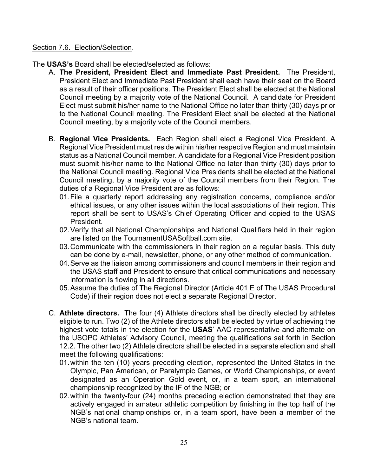#### Section 7.6. Election/Selection.

The **USAS's** Board shall be elected/selected as follows:

- A. **The President, President Elect and Immediate Past President.** The President, President Elect and Immediate Past President shall each have their seat on the Board as a result of their officer positions. The President Elect shall be elected at the National Council meeting by a majority vote of the National Council. A candidate for President Elect must submit his/her name to the National Office no later than thirty (30) days prior to the National Council meeting. The President Elect shall be elected at the National Council meeting, by a majority vote of the Council members.
- B. **Regional Vice Presidents.** Each Region shall elect a Regional Vice President. A Regional Vice President must reside within his/her respective Region and must maintain status as a National Council member. A candidate for a Regional Vice President position must submit his/her name to the National Office no later than thirty (30) days prior to the National Council meeting. Regional Vice Presidents shall be elected at the National Council meeting, by a majority vote of the Council members from their Region. The duties of a Regional Vice President are as follows:
	- 01.File a quarterly report addressing any registration concerns, compliance and/or ethical issues, or any other issues within the local associations of their region. This report shall be sent to USAS's Chief Operating Officer and copied to the USAS President.
	- 02.Verify that all National Championships and National Qualifiers held in their region are listed on the TournamentUSASoftball.com site.
	- 03.Communicate with the commissioners in their region on a regular basis. This duty can be done by e-mail, newsletter, phone, or any other method of communication.
	- 04.Serve as the liaison among commissioners and council members in their region and the USAS staff and President to ensure that critical communications and necessary information is flowing in all directions.
	- 05.Assume the duties of The Regional Director (Article 401 E of The USAS Procedural Code) if their region does not elect a separate Regional Director.
- C. **Athlete directors.** The four (4) Athlete directors shall be directly elected by athletes eligible to run. Two (2) of the Athlete directors shall be elected by virtue of achieving the highest vote totals in the election for the **USAS**' AAC representative and alternate on the USOPC Athletes' Advisory Council, meeting the qualifications set forth in Section 12.2. The other two (2) Athlete directors shall be elected in a separate election and shall meet the following qualifications:
	- 01.within the ten (10) years preceding election, represented the United States in the Olympic, Pan American, or Paralympic Games, or World Championships, or event designated as an Operation Gold event, or, in a team sport, an international championship recognized by the IF of the NGB; or
	- 02.within the twenty-four (24) months preceding election demonstrated that they are actively engaged in amateur athletic competition by finishing in the top half of the NGB's national championships or, in a team sport, have been a member of the NGB's national team.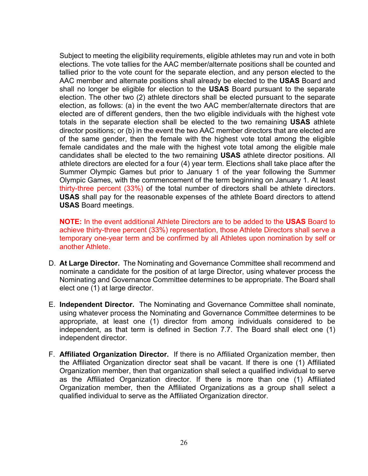Subject to meeting the eligibility requirements, eligible athletes may run and vote in both elections. The vote tallies for the AAC member/alternate positions shall be counted and tallied prior to the vote count for the separate election, and any person elected to the AAC member and alternate positions shall already be elected to the **USAS** Board and shall no longer be eligible for election to the **USAS** Board pursuant to the separate election. The other two (2) athlete directors shall be elected pursuant to the separate election, as follows: (a) in the event the two AAC member/alternate directors that are elected are of different genders, then the two eligible individuals with the highest vote totals in the separate election shall be elected to the two remaining **USAS** athlete director positions; or (b) in the event the two AAC member directors that are elected are of the same gender, then the female with the highest vote total among the eligible female candidates and the male with the highest vote total among the eligible male candidates shall be elected to the two remaining **USAS** athlete director positions. All athlete directors are elected for a four (4) year term. Elections shall take place after the Summer Olympic Games but prior to January 1 of the year following the Summer Olympic Games, with the commencement of the term beginning on January 1. At least thirty-three percent (33%) of the total number of directors shall be athlete directors. **USAS** shall pay for the reasonable expenses of the athlete Board directors to attend **USAS** Board meetings.

**NOTE:** In the event additional Athlete Directors are to be added to the **USAS** Board to achieve thirty-three percent (33%) representation, those Athlete Directors shall serve a temporary one-year term and be confirmed by all Athletes upon nomination by self or another Athlete.

- D. **At Large Director.** The Nominating and Governance Committee shall recommend and nominate a candidate for the position of at large Director, using whatever process the Nominating and Governance Committee determines to be appropriate. The Board shall elect one (1) at large director.
- E. **Independent Director.** The Nominating and Governance Committee shall nominate, using whatever process the Nominating and Governance Committee determines to be appropriate, at least one (1) director from among individuals considered to be independent, as that term is defined in Section 7.7. The Board shall elect one (1) independent director.
- F. **Affiliated Organization Director.** If there is no Affiliated Organization member, then the Affiliated Organization director seat shall be vacant. If there is one (1) Affiliated Organization member, then that organization shall select a qualified individual to serve as the Affiliated Organization director. If there is more than one (1) Affiliated Organization member, then the Affiliated Organizations as a group shall select a qualified individual to serve as the Affiliated Organization director.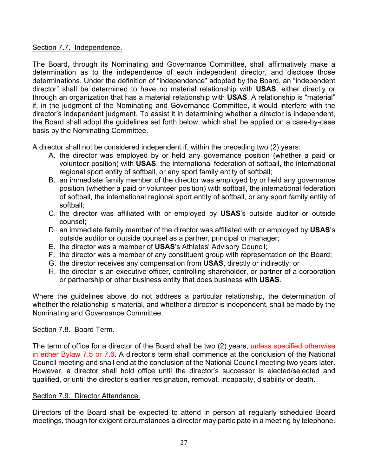## Section 7.7. Independence.

The Board, through its Nominating and Governance Committee, shall affirmatively make a determination as to the independence of each independent director, and disclose those determinations. Under the definition of "independence" adopted by the Board, an "independent director" shall be determined to have no material relationship with **USAS**, either directly or through an organization that has a material relationship with **USAS**. A relationship is "material" if, in the judgment of the Nominating and Governance Committee, it would interfere with the director's independent judgment. To assist it in determining whether a director is independent, the Board shall adopt the guidelines set forth below, which shall be applied on a case-by-case basis by the Nominating Committee.

A director shall not be considered independent if, within the preceding two (2) years:

- A. the director was employed by or held any governance position (whether a paid or volunteer position) with **USAS**, the international federation of softball, the international regional sport entity of softball, or any sport family entity of softball;
- B. an immediate family member of the director was employed by or held any governance position (whether a paid or volunteer position) with softball, the international federation of softball, the international regional sport entity of softball, or any sport family entity of softball;
- C. the director was affiliated with or employed by **USAS**'s outside auditor or outside counsel;
- D. an immediate family member of the director was affiliated with or employed by **USAS**'s outside auditor or outside counsel as a partner, principal or manager;
- E. the director was a member of **USAS**'s Athletes' Advisory Council;
- F. the director was a member of any constituent group with representation on the Board;
- G. the director receives any compensation from **USAS**, directly or indirectly; or
- H. the director is an executive officer, controlling shareholder, or partner of a corporation or partnership or other business entity that does business with **USAS**.

Where the guidelines above do not address a particular relationship, the determination of whether the relationship is material, and whether a director is independent, shall be made by the Nominating and Governance Committee.

# Section 7.8. Board Term.

The term of office for a director of the Board shall be two (2) years, unless specified otherwise in either Bylaw 7.5 or 7.6. A director's term shall commence at the conclusion of the National Council meeting and shall end at the conclusion of the National Council meeting two years later. However, a director shall hold office until the director's successor is elected/selected and qualified, or until the director's earlier resignation, removal, incapacity, disability or death.

# Section 7.9. Director Attendance.

Directors of the Board shall be expected to attend in person all regularly scheduled Board meetings, though for exigent circumstances a director may participate in a meeting by telephone.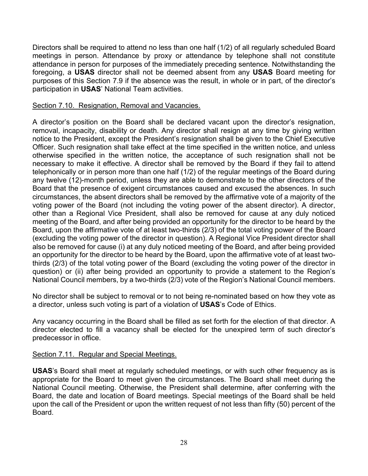Directors shall be required to attend no less than one half (1/2) of all regularly scheduled Board meetings in person. Attendance by proxy or attendance by telephone shall not constitute attendance in person for purposes of the immediately preceding sentence. Notwithstanding the foregoing, a **USAS** director shall not be deemed absent from any **USAS** Board meeting for purposes of this Section 7.9 if the absence was the result, in whole or in part, of the director's participation in **USAS**' National Team activities.

## Section 7.10. Resignation, Removal and Vacancies.

A director's position on the Board shall be declared vacant upon the director's resignation, removal, incapacity, disability or death. Any director shall resign at any time by giving written notice to the President, except the President's resignation shall be given to the Chief Executive Officer. Such resignation shall take effect at the time specified in the written notice, and unless otherwise specified in the written notice, the acceptance of such resignation shall not be necessary to make it effective. A director shall be removed by the Board if they fail to attend telephonically or in person more than one half (1/2) of the regular meetings of the Board during any twelve (12)-month period, unless they are able to demonstrate to the other directors of the Board that the presence of exigent circumstances caused and excused the absences. In such circumstances, the absent directors shall be removed by the affirmative vote of a majority of the voting power of the Board (not including the voting power of the absent director). A director, other than a Regional Vice President, shall also be removed for cause at any duly noticed meeting of the Board, and after being provided an opportunity for the director to be heard by the Board, upon the affirmative vote of at least two-thirds (2/3) of the total voting power of the Board (excluding the voting power of the director in question). A Regional Vice President director shall also be removed for cause (i) at any duly noticed meeting of the Board, and after being provided an opportunity for the director to be heard by the Board, upon the affirmative vote of at least twothirds (2/3) of the total voting power of the Board (excluding the voting power of the director in question) or (ii) after being provided an opportunity to provide a statement to the Region's National Council members, by a two-thirds (2/3) vote of the Region's National Council members.

No director shall be subject to removal or to not being re-nominated based on how they vote as a director, unless such voting is part of a violation of **USAS**'s Code of Ethics.

Any vacancy occurring in the Board shall be filled as set forth for the election of that director. A director elected to fill a vacancy shall be elected for the unexpired term of such director's predecessor in office.

## Section 7.11. Regular and Special Meetings.

**USAS**'s Board shall meet at regularly scheduled meetings, or with such other frequency as is appropriate for the Board to meet given the circumstances. The Board shall meet during the National Council meeting. Otherwise, the President shall determine, after conferring with the Board, the date and location of Board meetings. Special meetings of the Board shall be held upon the call of the President or upon the written request of not less than fifty (50) percent of the Board.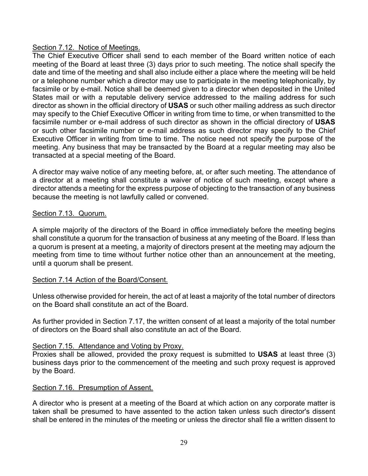#### Section 7.12. Notice of Meetings.

The Chief Executive Officer shall send to each member of the Board written notice of each meeting of the Board at least three (3) days prior to such meeting. The notice shall specify the date and time of the meeting and shall also include either a place where the meeting will be held or a telephone number which a director may use to participate in the meeting telephonically, by facsimile or by e-mail. Notice shall be deemed given to a director when deposited in the United States mail or with a reputable delivery service addressed to the mailing address for such director as shown in the official directory of **USAS** or such other mailing address as such director may specify to the Chief Executive Officer in writing from time to time, or when transmitted to the facsimile number or e-mail address of such director as shown in the official directory of **USAS** or such other facsimile number or e-mail address as such director may specify to the Chief Executive Officer in writing from time to time. The notice need not specify the purpose of the meeting. Any business that may be transacted by the Board at a regular meeting may also be transacted at a special meeting of the Board.

A director may waive notice of any meeting before, at, or after such meeting. The attendance of a director at a meeting shall constitute a waiver of notice of such meeting, except where a director attends a meeting for the express purpose of objecting to the transaction of any business because the meeting is not lawfully called or convened.

## Section 7.13. Quorum.

A simple majority of the directors of the Board in office immediately before the meeting begins shall constitute a quorum for the transaction of business at any meeting of the Board. If less than a quorum is present at a meeting, a majority of directors present at the meeting may adjourn the meeting from time to time without further notice other than an announcement at the meeting, until a quorum shall be present.

#### Section 7.14 Action of the Board/Consent.

Unless otherwise provided for herein, the act of at least a majority of the total number of directors on the Board shall constitute an act of the Board.

As further provided in Section 7.17, the written consent of at least a majority of the total number of directors on the Board shall also constitute an act of the Board.

#### Section 7.15. Attendance and Voting by Proxy.

Proxies shall be allowed, provided the proxy request is submitted to **USAS** at least three (3) business days prior to the commencement of the meeting and such proxy request is approved by the Board.

#### Section 7.16. Presumption of Assent.

A director who is present at a meeting of the Board at which action on any corporate matter is taken shall be presumed to have assented to the action taken unless such director's dissent shall be entered in the minutes of the meeting or unless the director shall file a written dissent to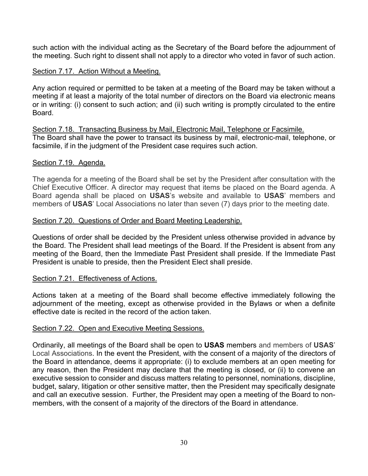such action with the individual acting as the Secretary of the Board before the adjournment of the meeting. Such right to dissent shall not apply to a director who voted in favor of such action.

#### Section 7.17. Action Without a Meeting.

Any action required or permitted to be taken at a meeting of the Board may be taken without a meeting if at least a majority of the total number of directors on the Board via electronic means or in writing: (i) consent to such action; and (ii) such writing is promptly circulated to the entire Board.

Section 7.18. Transacting Business by Mail, Electronic Mail, Telephone or Facsimile. The Board shall have the power to transact its business by mail, electronic-mail, telephone, or facsimile, if in the judgment of the President case requires such action.

#### Section 7.19. Agenda.

The agenda for a meeting of the Board shall be set by the President after consultation with the Chief Executive Officer. A director may request that items be placed on the Board agenda. A Board agenda shall be placed on **USAS**'s website and available to **USAS**' members and members of **USAS**' Local Associations no later than seven (7) days prior to the meeting date.

#### Section 7.20. Questions of Order and Board Meeting Leadership.

Questions of order shall be decided by the President unless otherwise provided in advance by the Board. The President shall lead meetings of the Board. If the President is absent from any meeting of the Board, then the Immediate Past President shall preside. If the Immediate Past President is unable to preside, then the President Elect shall preside.

#### Section 7.21. Effectiveness of Actions.

Actions taken at a meeting of the Board shall become effective immediately following the adjournment of the meeting, except as otherwise provided in the Bylaws or when a definite effective date is recited in the record of the action taken.

#### Section 7.22. Open and Executive Meeting Sessions.

Ordinarily, all meetings of the Board shall be open to **USAS** members and members of **USAS**' Local Associations. In the event the President, with the consent of a majority of the directors of the Board in attendance, deems it appropriate: (i) to exclude members at an open meeting for any reason, then the President may declare that the meeting is closed, or (ii) to convene an executive session to consider and discuss matters relating to personnel, nominations, discipline, budget, salary, litigation or other sensitive matter, then the President may specifically designate and call an executive session. Further, the President may open a meeting of the Board to nonmembers, with the consent of a majority of the directors of the Board in attendance.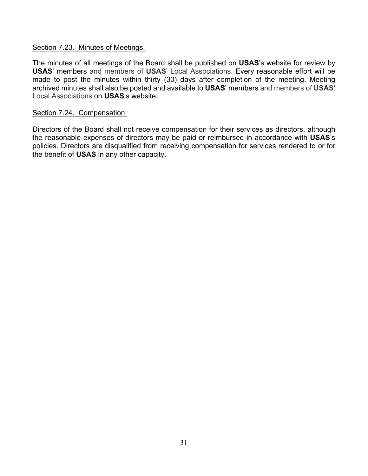#### Section 7.23. Minutes of Meetings.

The minutes of all meetings of the Board shall be published on **USAS**'s website for review by **USAS**' members and members of **USAS**' Local Associations. Every reasonable effort will be made to post the minutes within thirty (30) days after completion of the meeting. Meeting archived minutes shall also be posted and available to **USAS**' members and members of **USAS**' Local Associations on **USAS**'s website.

#### Section 7.24. Compensation.

Directors of the Board shall not receive compensation for their services as directors, although the reasonable expenses of directors may be paid or reimbursed in accordance with **USAS**'s policies. Directors are disqualified from receiving compensation for services rendered to or for the benefit of **USAS** in any other capacity.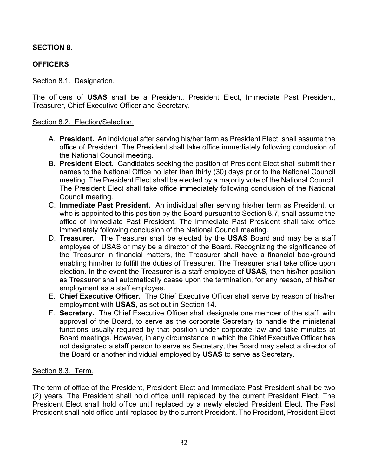## **SECTION 8.**

## **OFFICERS**

## Section 8.1. Designation.

The officers of **USAS** shall be a President, President Elect, Immediate Past President, Treasurer, Chief Executive Officer and Secretary.

#### Section 8.2. Election/Selection.

- A. **President.** An individual after serving his/her term as President Elect, shall assume the office of President. The President shall take office immediately following conclusion of the National Council meeting.
- B. **President Elect.** Candidates seeking the position of President Elect shall submit their names to the National Office no later than thirty (30) days prior to the National Council meeting. The President Elect shall be elected by a majority vote of the National Council. The President Elect shall take office immediately following conclusion of the National Council meeting.
- C. **Immediate Past President.** An individual after serving his/her term as President, or who is appointed to this position by the Board pursuant to Section 8.7, shall assume the office of Immediate Past President. The Immediate Past President shall take office immediately following conclusion of the National Council meeting.
- D. **Treasurer.** The Treasurer shall be elected by the **USAS** Board and may be a staff employee of USAS or may be a director of the Board. Recognizing the significance of the Treasurer in financial matters, the Treasurer shall have a financial background enabling him/her to fulfill the duties of Treasurer. The Treasurer shall take office upon election. In the event the Treasurer is a staff employee of **USAS**, then his/her position as Treasurer shall automatically cease upon the termination, for any reason, of his/her employment as a staff employee.
- E. **Chief Executive Officer.** The Chief Executive Officer shall serve by reason of his/her employment with **USAS**, as set out in Section 14.
- F. **Secretary.** The Chief Executive Officer shall designate one member of the staff, with approval of the Board, to serve as the corporate Secretary to handle the ministerial functions usually required by that position under corporate law and take minutes at Board meetings. However, in any circumstance in which the Chief Executive Officer has not designated a staff person to serve as Secretary, the Board may select a director of the Board or another individual employed by **USAS** to serve as Secretary.

## Section 8.3. Term.

The term of office of the President, President Elect and Immediate Past President shall be two (2) years. The President shall hold office until replaced by the current President Elect. The President Elect shall hold office until replaced by a newly elected President Elect. The Past President shall hold office until replaced by the current President. The President, President Elect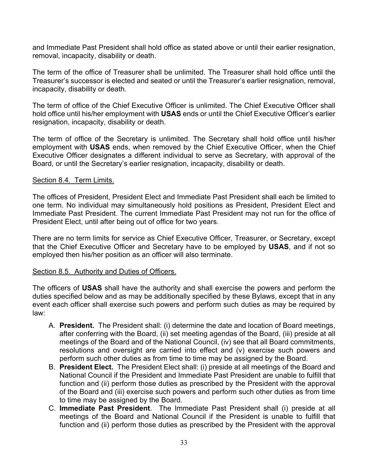and Immediate Past President shall hold office as stated above or until their earlier resignation, removal, incapacity, disability or death.

The term of the office of Treasurer shall be unlimited. The Treasurer shall hold office until the Treasurer's successor is elected and seated or until the Treasurer's earlier resignation, removal, incapacity, disability or death.

The term of office of the Chief Executive Officer is unlimited. The Chief Executive Officer shall hold office until his/her employment with **USAS** ends or until the Chief Executive Officer's earlier resignation, incapacity, disability or death.

The term of office of the Secretary is unlimited. The Secretary shall hold office until his/her employment with **USAS** ends, when removed by the Chief Executive Officer, when the Chief Executive Officer designates a different individual to serve as Secretary, with approval of the Board, or until the Secretary's earlier resignation, incapacity, disability or death.

#### Section 8.4. Term Limits.

The offices of President, President Elect and Immediate Past President shall each be limited to one term. No individual may simultaneously hold positions as President, President Elect and Immediate Past President. The current Immediate Past President may not run for the office of President Elect, until after being out of office for two years.

There are no term limits for service as Chief Executive Officer, Treasurer, or Secretary, except that the Chief Executive Officer and Secretary have to be employed by **USAS**, and if not so employed then his/her position as an officer will also terminate.

#### Section 8.5. Authority and Duties of Officers.

The officers of **USAS** shall have the authority and shall exercise the powers and perform the duties specified below and as may be additionally specified by these Bylaws, except that in any event each officer shall exercise such powers and perform such duties as may be required by law:

- A. **President.** The President shall: (i) determine the date and location of Board meetings, after conferring with the Board, (ii) set meeting agendas of the Board, (iii) preside at all meetings of the Board and of the National Council, (iv) see that all Board commitments, resolutions and oversight are carried into effect and (v) exercise such powers and perform such other duties as from time to time may be assigned by the Board.
- B. **President Elect.** The President Elect shall: (i) preside at all meetings of the Board and National Council if the President and Immediate Past President are unable to fulfill that function and (ii) perform those duties as prescribed by the President with the approval of the Board and (iii) exercise such powers and perform such other duties as from time to time may be assigned by the Board.
- C. **Immediate Past President**. The Immediate Past President shall (i) preside at all meetings of the Board and National Council if the President is unable to fulfill that function and (ii) perform those duties as prescribed by the President with the approval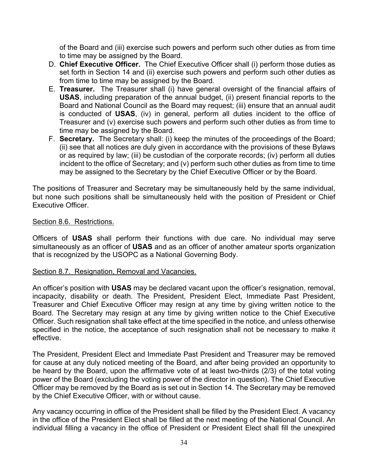of the Board and (iii) exercise such powers and perform such other duties as from time to time may be assigned by the Board.

- D. **Chief Executive Officer.** The Chief Executive Officer shall (i) perform those duties as set forth in Section 14 and (ii) exercise such powers and perform such other duties as from time to time may be assigned by the Board.
- E. **Treasurer.** The Treasurer shall (i) have general oversight of the financial affairs of **USAS**, including preparation of the annual budget, (ii) present financial reports to the Board and National Council as the Board may request; (iii) ensure that an annual audit is conducted of **USAS**, (iv) in general, perform all duties incident to the office of Treasurer and (v) exercise such powers and perform such other duties as from time to time may be assigned by the Board.
- F. **Secretary.** The Secretary shall: (i) keep the minutes of the proceedings of the Board; (ii) see that all notices are duly given in accordance with the provisions of these Bylaws or as required by law; (iii) be custodian of the corporate records; (iv) perform all duties incident to the office of Secretary; and (v) perform such other duties as from time to time may be assigned to the Secretary by the Chief Executive Officer or by the Board.

The positions of Treasurer and Secretary may be simultaneously held by the same individual, but none such positions shall be simultaneously held with the position of President or Chief Executive Officer.

#### Section 8.6. Restrictions.

Officers of **USAS** shall perform their functions with due care. No individual may serve simultaneously as an officer of **USAS** and as an officer of another amateur sports organization that is recognized by the USOPC as a National Governing Body.

#### Section 8.7. Resignation, Removal and Vacancies.

An officer's position with **USAS** may be declared vacant upon the officer's resignation, removal, incapacity, disability or death. The President, President Elect, Immediate Past President, Treasurer and Chief Executive Officer may resign at any time by giving written notice to the Board. The Secretary may resign at any time by giving written notice to the Chief Executive Officer. Such resignation shall take effect at the time specified in the notice, and unless otherwise specified in the notice, the acceptance of such resignation shall not be necessary to make it effective.

The President, President Elect and Immediate Past President and Treasurer may be removed for cause at any duly noticed meeting of the Board, and after being provided an opportunity to be heard by the Board, upon the affirmative vote of at least two-thirds (2/3) of the total voting power of the Board (excluding the voting power of the director in question). The Chief Executive Officer may be removed by the Board as is set out in Section 14. The Secretary may be removed by the Chief Executive Officer, with or without cause.

Any vacancy occurring in office of the President shall be filled by the President Elect. A vacancy in the office of the President Elect shall be filled at the next meeting of the National Council. An individual filling a vacancy in the office of President or President Elect shall fill the unexpired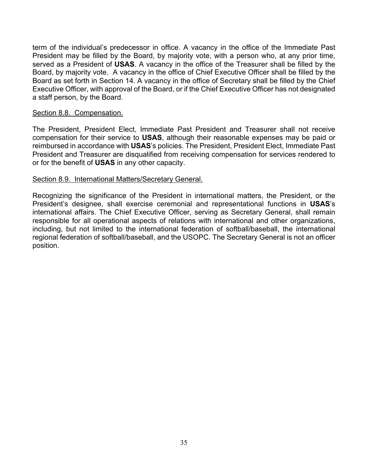term of the individual's predecessor in office. A vacancy in the office of the Immediate Past President may be filled by the Board, by majority vote, with a person who, at any prior time, served as a President of **USAS**. A vacancy in the office of the Treasurer shall be filled by the Board, by majority vote. A vacancy in the office of Chief Executive Officer shall be filled by the Board as set forth in Section 14. A vacancy in the office of Secretary shall be filled by the Chief Executive Officer, with approval of the Board, or if the Chief Executive Officer has not designated a staff person, by the Board.

#### Section 8.8. Compensation.

The President, President Elect, Immediate Past President and Treasurer shall not receive compensation for their service to **USAS**, although their reasonable expenses may be paid or reimbursed in accordance with **USAS**'s policies. The President, President Elect, Immediate Past President and Treasurer are disqualified from receiving compensation for services rendered to or for the benefit of **USAS** in any other capacity.

#### Section 8.9. International Matters/Secretary General.

Recognizing the significance of the President in international matters, the President, or the President's designee, shall exercise ceremonial and representational functions in **USAS**'s international affairs. The Chief Executive Officer, serving as Secretary General, shall remain responsible for all operational aspects of relations with international and other organizations, including, but not limited to the international federation of softball/baseball, the international regional federation of softball/baseball, and the USOPC. The Secretary General is not an officer position.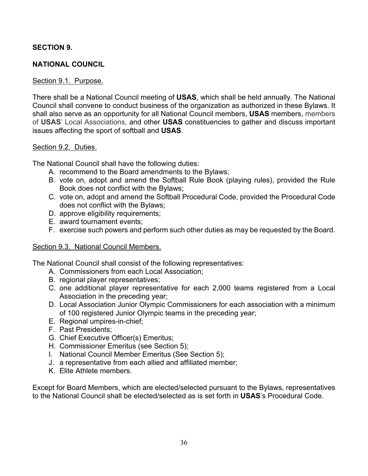## **SECTION 9.**

## **NATIONAL COUNCIL**

#### Section 9.1. Purpose.

There shall be a National Council meeting of **USAS**, which shall be held annually. The National Council shall convene to conduct business of the organization as authorized in these Bylaws. It shall also serve as an opportunity for all National Council members, **USAS** members, members of **USAS**' Local Associations, and other **USAS** constituencies to gather and discuss important issues affecting the sport of softball and **USAS**.

#### Section 9.2. Duties.

The National Council shall have the following duties:

- A. recommend to the Board amendments to the Bylaws;
- B. vote on, adopt and amend the Softball Rule Book (playing rules), provided the Rule Book does not conflict with the Bylaws;
- C. vote on, adopt and amend the Softball Procedural Code, provided the Procedural Code does not conflict with the Bylaws;
- D. approve eligibility requirements;
- E. award tournament events;
- F. exercise such powers and perform such other duties as may be requested by the Board.

#### Section 9.3. National Council Members.

The National Council shall consist of the following representatives:

- A. Commissioners from each Local Association;
- B. regional player representatives;
- C. one additional player representative for each 2,000 teams registered from a Local Association in the preceding year;
- D. Local Association Junior Olympic Commissioners for each association with a minimum of 100 registered Junior Olympic teams in the preceding year;
- E. Regional umpires-in-chief;
- F. Past Presidents;
- G. Chief Executive Officer(s) Emeritus;
- H. Commissioner Emeritus (see Section 5);
- I. National Council Member Emeritus (See Section 5);
- J. a representative from each allied and affiliated member;
- K. Elite Athlete members.

Except for Board Members, which are elected/selected pursuant to the Bylaws, representatives to the National Council shall be elected/selected as is set forth in **USAS**'s Procedural Code.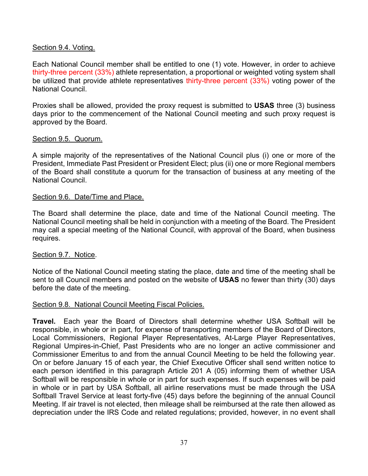## Section 9.4. Voting.

Each National Council member shall be entitled to one (1) vote. However, in order to achieve thirty-three percent (33%) athlete representation, a proportional or weighted voting system shall be utilized that provide athlete representatives thirty-three percent (33%) voting power of the National Council.

Proxies shall be allowed, provided the proxy request is submitted to **USAS** three (3) business days prior to the commencement of the National Council meeting and such proxy request is approved by the Board.

## Section 9.5. Quorum.

A simple majority of the representatives of the National Council plus (i) one or more of the President, Immediate Past President or President Elect; plus (ii) one or more Regional members of the Board shall constitute a quorum for the transaction of business at any meeting of the National Council.

## Section 9.6. Date/Time and Place.

The Board shall determine the place, date and time of the National Council meeting. The National Council meeting shall be held in conjunction with a meeting of the Board. The President may call a special meeting of the National Council, with approval of the Board, when business requires.

## Section 9.7. Notice.

Notice of the National Council meeting stating the place, date and time of the meeting shall be sent to all Council members and posted on the website of **USAS** no fewer than thirty (30) days before the date of the meeting.

## Section 9.8. National Council Meeting Fiscal Policies.

**Travel.** Each year the Board of Directors shall determine whether USA Softball will be responsible, in whole or in part, for expense of transporting members of the Board of Directors, Local Commissioners, Regional Player Representatives, At-Large Player Representatives, Regional Umpires-in-Chief, Past Presidents who are no longer an active commissioner and Commissioner Emeritus to and from the annual Council Meeting to be held the following year. On or before January 15 of each year, the Chief Executive Officer shall send written notice to each person identified in this paragraph Article 201 A (05) informing them of whether USA Softball will be responsible in whole or in part for such expenses. If such expenses will be paid in whole or in part by USA Softball, all airline reservations must be made through the USA Softball Travel Service at least forty-five (45) days before the beginning of the annual Council Meeting. If air travel is not elected, then mileage shall be reimbursed at the rate then allowed as depreciation under the IRS Code and related regulations; provided, however, in no event shall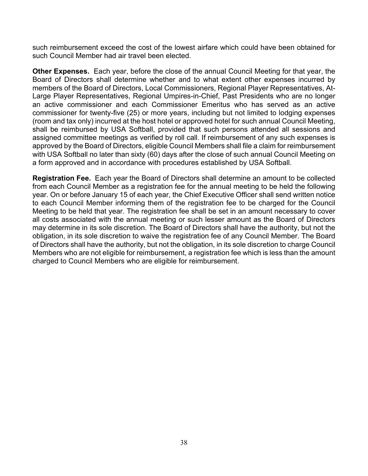such reimbursement exceed the cost of the lowest airfare which could have been obtained for such Council Member had air travel been elected.

**Other Expenses.** Each year, before the close of the annual Council Meeting for that year, the Board of Directors shall determine whether and to what extent other expenses incurred by members of the Board of Directors, Local Commissioners, Regional Player Representatives, At-Large Player Representatives, Regional Umpires-in-Chief, Past Presidents who are no longer an active commissioner and each Commissioner Emeritus who has served as an active commissioner for twenty-five (25) or more years, including but not limited to lodging expenses (room and tax only) incurred at the host hotel or approved hotel for such annual Council Meeting, shall be reimbursed by USA Softball, provided that such persons attended all sessions and assigned committee meetings as verified by roll call. If reimbursement of any such expenses is approved by the Board of Directors, eligible Council Members shall file a claim for reimbursement with USA Softball no later than sixty (60) days after the close of such annual Council Meeting on a form approved and in accordance with procedures established by USA Softball.

**Registration Fee.** Each year the Board of Directors shall determine an amount to be collected from each Council Member as a registration fee for the annual meeting to be held the following year. On or before January 15 of each year, the Chief Executive Officer shall send written notice to each Council Member informing them of the registration fee to be charged for the Council Meeting to be held that year. The registration fee shall be set in an amount necessary to cover all costs associated with the annual meeting or such lesser amount as the Board of Directors may determine in its sole discretion. The Board of Directors shall have the authority, but not the obligation, in its sole discretion to waive the registration fee of any Council Member. The Board of Directors shall have the authority, but not the obligation, in its sole discretion to charge Council Members who are not eligible for reimbursement, a registration fee which is less than the amount charged to Council Members who are eligible for reimbursement.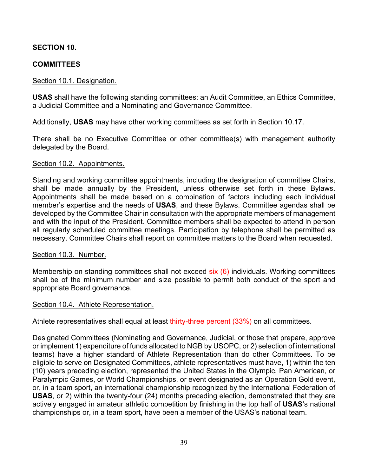# **SECTION 10.**

# **COMMITTEES**

## Section 10.1. Designation.

**USAS** shall have the following standing committees: an Audit Committee, an Ethics Committee, a Judicial Committee and a Nominating and Governance Committee.

Additionally, **USAS** may have other working committees as set forth in Section 10.17.

There shall be no Executive Committee or other committee(s) with management authority delegated by the Board.

### Section 10.2. Appointments.

Standing and working committee appointments, including the designation of committee Chairs, shall be made annually by the President, unless otherwise set forth in these Bylaws. Appointments shall be made based on a combination of factors including each individual member's expertise and the needs of **USAS**, and these Bylaws. Committee agendas shall be developed by the Committee Chair in consultation with the appropriate members of management and with the input of the President. Committee members shall be expected to attend in person all regularly scheduled committee meetings. Participation by telephone shall be permitted as necessary. Committee Chairs shall report on committee matters to the Board when requested.

### Section 10.3. Number.

Membership on standing committees shall not exceed six (6) individuals. Working committees shall be of the minimum number and size possible to permit both conduct of the sport and appropriate Board governance.

### Section 10.4. Athlete Representation.

Athlete representatives shall equal at least thirty-three percent (33%) on all committees.

Designated Committees (Nominating and Governance, Judicial, or those that prepare, approve or implement 1) expenditure of funds allocated to NGB by USOPC, or 2) selection of international teams) have a higher standard of Athlete Representation than do other Committees. To be eligible to serve on Designated Committees, athlete representatives must have, 1) within the ten (10) years preceding election, represented the United States in the Olympic, Pan American, or Paralympic Games, or World Championships, or event designated as an Operation Gold event, or, in a team sport, an international championship recognized by the International Federation of **USAS**, or 2) within the twenty-four (24) months preceding election, demonstrated that they are actively engaged in amateur athletic competition by finishing in the top half of **USAS**'s national championships or, in a team sport, have been a member of the USAS's national team.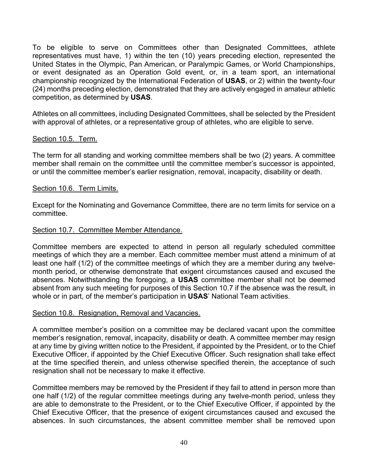To be eligible to serve on Committees other than Designated Committees, athlete representatives must have, 1) within the ten (10) years preceding election, represented the United States in the Olympic, Pan American, or Paralympic Games, or World Championships, or event designated as an Operation Gold event, or, in a team sport, an international championship recognized by the International Federation of **USAS**, or 2) within the twenty-four (24) months preceding election, demonstrated that they are actively engaged in amateur athletic competition, as determined by **USAS**.

Athletes on all committees, including Designated Committees, shall be selected by the President with approval of athletes, or a representative group of athletes, who are eligible to serve.

## Section 10.5. Term.

The term for all standing and working committee members shall be two (2) years. A committee member shall remain on the committee until the committee member's successor is appointed, or until the committee member's earlier resignation, removal, incapacity, disability or death.

## Section 10.6. Term Limits.

Except for the Nominating and Governance Committee, there are no term limits for service on a committee.

## Section 10.7. Committee Member Attendance.

Committee members are expected to attend in person all regularly scheduled committee meetings of which they are a member. Each committee member must attend a minimum of at least one half (1/2) of the committee meetings of which they are a member during any twelvemonth period, or otherwise demonstrate that exigent circumstances caused and excused the absences. Notwithstanding the foregoing, a **USAS** committee member shall not be deemed absent from any such meeting for purposes of this Section 10.7 if the absence was the result, in whole or in part, of the member's participation in **USAS**' National Team activities.

## Section 10.8. Resignation, Removal and Vacancies.

A committee member's position on a committee may be declared vacant upon the committee member's resignation, removal, incapacity, disability or death. A committee member may resign at any time by giving written notice to the President, if appointed by the President, or to the Chief Executive Officer, if appointed by the Chief Executive Officer. Such resignation shall take effect at the time specified therein, and unless otherwise specified therein, the acceptance of such resignation shall not be necessary to make it effective.

Committee members may be removed by the President if they fail to attend in person more than one half (1/2) of the regular committee meetings during any twelve-month period, unless they are able to demonstrate to the President, or to the Chief Executive Officer, if appointed by the Chief Executive Officer, that the presence of exigent circumstances caused and excused the absences. In such circumstances, the absent committee member shall be removed upon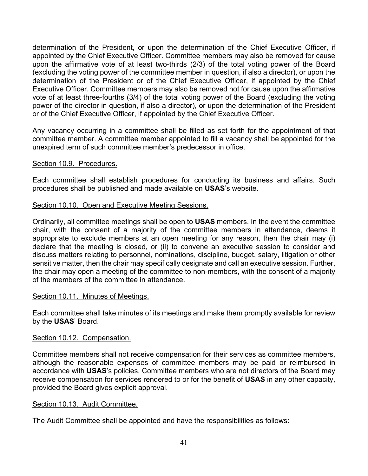determination of the President, or upon the determination of the Chief Executive Officer, if appointed by the Chief Executive Officer. Committee members may also be removed for cause upon the affirmative vote of at least two-thirds (2/3) of the total voting power of the Board (excluding the voting power of the committee member in question, if also a director), or upon the determination of the President or of the Chief Executive Officer, if appointed by the Chief Executive Officer. Committee members may also be removed not for cause upon the affirmative vote of at least three-fourths (3/4) of the total voting power of the Board (excluding the voting power of the director in question, if also a director), or upon the determination of the President or of the Chief Executive Officer, if appointed by the Chief Executive Officer.

Any vacancy occurring in a committee shall be filled as set forth for the appointment of that committee member. A committee member appointed to fill a vacancy shall be appointed for the unexpired term of such committee member's predecessor in office.

## Section 10.9. Procedures.

Each committee shall establish procedures for conducting its business and affairs. Such procedures shall be published and made available on **USAS**'s website.

# Section 10.10. Open and Executive Meeting Sessions.

Ordinarily, all committee meetings shall be open to **USAS** members. In the event the committee chair, with the consent of a majority of the committee members in attendance, deems it appropriate to exclude members at an open meeting for any reason, then the chair may (i) declare that the meeting is closed, or (ii) to convene an executive session to consider and discuss matters relating to personnel, nominations, discipline, budget, salary, litigation or other sensitive matter, then the chair may specifically designate and call an executive session. Further, the chair may open a meeting of the committee to non-members, with the consent of a majority of the members of the committee in attendance.

## Section 10.11. Minutes of Meetings.

Each committee shall take minutes of its meetings and make them promptly available for review by the **USAS**' Board.

## Section 10.12. Compensation.

Committee members shall not receive compensation for their services as committee members, although the reasonable expenses of committee members may be paid or reimbursed in accordance with **USAS**'s policies. Committee members who are not directors of the Board may receive compensation for services rendered to or for the benefit of **USAS** in any other capacity, provided the Board gives explicit approval.

## Section 10.13. Audit Committee.

The Audit Committee shall be appointed and have the responsibilities as follows: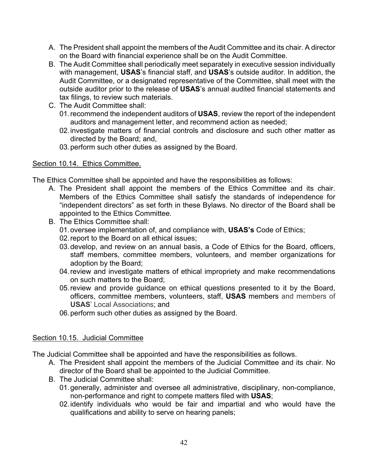- A. The President shall appoint the members of the Audit Committee and its chair. A director on the Board with financial experience shall be on the Audit Committee.
- B. The Audit Committee shall periodically meet separately in executive session individually with management, **USAS**'s financial staff, and **USAS**'s outside auditor. In addition, the Audit Committee, or a designated representative of the Committee, shall meet with the outside auditor prior to the release of **USAS**'s annual audited financial statements and tax filings, to review such materials.
- C. The Audit Committee shall:
	- 01.recommend the independent auditors of **USAS**, review the report of the independent auditors and management letter, and recommend action as needed;
	- 02.investigate matters of financial controls and disclosure and such other matter as directed by the Board; and,
	- 03.perform such other duties as assigned by the Board.

## Section 10.14. Ethics Committee.

The Ethics Committee shall be appointed and have the responsibilities as follows:

- A. The President shall appoint the members of the Ethics Committee and its chair. Members of the Ethics Committee shall satisfy the standards of independence for "independent directors" as set forth in these Bylaws. No director of the Board shall be appointed to the Ethics Committee.
- B. The Ethics Committee shall:
	- 01.oversee implementation of, and compliance with, **USAS's** Code of Ethics;
	- 02.report to the Board on all ethical issues;
	- 03.develop, and review on an annual basis, a Code of Ethics for the Board, officers, staff members, committee members, volunteers, and member organizations for adoption by the Board;
	- 04.review and investigate matters of ethical impropriety and make recommendations on such matters to the Board;
	- 05.review and provide guidance on ethical questions presented to it by the Board, officers, committee members, volunteers, staff, **USAS** members and members of **USAS**' Local Associations; and
	- 06.perform such other duties as assigned by the Board.

# Section 10.15. Judicial Committee

The Judicial Committee shall be appointed and have the responsibilities as follows.

- A. The President shall appoint the members of the Judicial Committee and its chair. No director of the Board shall be appointed to the Judicial Committee.
- B. The Judicial Committee shall:
	- 01.generally, administer and oversee all administrative, disciplinary, non-compliance, non-performance and right to compete matters filed with **USAS**;
	- 02.identify individuals who would be fair and impartial and who would have the qualifications and ability to serve on hearing panels;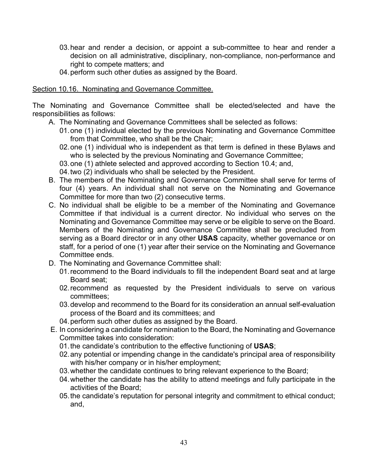- 03.hear and render a decision, or appoint a sub-committee to hear and render a decision on all administrative, disciplinary, non-compliance, non-performance and right to compete matters; and
- 04.perform such other duties as assigned by the Board.

## Section 10.16. Nominating and Governance Committee.

The Nominating and Governance Committee shall be elected/selected and have the responsibilities as follows:

- A. The Nominating and Governance Committees shall be selected as follows:
	- 01.one (1) individual elected by the previous Nominating and Governance Committee from that Committee, who shall be the Chair;
	- 02.one (1) individual who is independent as that term is defined in these Bylaws and who is selected by the previous Nominating and Governance Committee;
	- 03.one (1) athlete selected and approved according to Section 10.4; and,
	- 04.two (2) individuals who shall be selected by the President.
- B. The members of the Nominating and Governance Committee shall serve for terms of four (4) years. An individual shall not serve on the Nominating and Governance Committee for more than two (2) consecutive terms.
- C. No individual shall be eligible to be a member of the Nominating and Governance Committee if that individual is a current director. No individual who serves on the Nominating and Governance Committee may serve or be eligible to serve on the Board. Members of the Nominating and Governance Committee shall be precluded from serving as a Board director or in any other **USAS** capacity, whether governance or on staff, for a period of one (1) year after their service on the Nominating and Governance Committee ends.
- D. The Nominating and Governance Committee shall:
	- 01.recommend to the Board individuals to fill the independent Board seat and at large Board seat;
	- 02.recommend as requested by the President individuals to serve on various committees;
	- 03.develop and recommend to the Board for its consideration an annual self-evaluation process of the Board and its committees; and
	- 04.perform such other duties as assigned by the Board.
- E. In considering a candidate for nomination to the Board, the Nominating and Governance Committee takes into consideration:
	- 01.the candidate's contribution to the effective functioning of **USAS**;
	- 02.any potential or impending change in the candidate's principal area of responsibility with his/her company or in his/her employment;
	- 03.whether the candidate continues to bring relevant experience to the Board;
	- 04.whether the candidate has the ability to attend meetings and fully participate in the activities of the Board;
	- 05.the candidate's reputation for personal integrity and commitment to ethical conduct; and,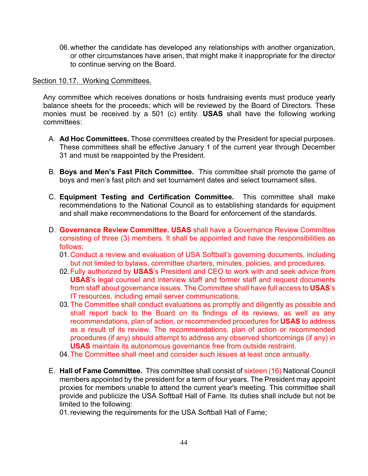06.whether the candidate has developed any relationships with another organization, or other circumstances have arisen, that might make it inappropriate for the director to continue serving on the Board.

### Section 10.17. Working Committees.

Any committee which receives donations or hosts fundraising events must produce yearly balance sheets for the proceeds; which will be reviewed by the Board of Directors. These monies must be received by a 501 (c) entity. **USAS** shall have the following working committees:

- A. **Ad Hoc Committees.** Those committees created by the President for special purposes. These committees shall be effective January 1 of the current year through December 31 and must be reappointed by the President.
- B. **Boys and Men's Fast Pitch Committee.** This committee shall promote the game of boys and men's fast pitch and set tournament dates and select tournament sites.
- C. **Equipment Testing and Certification Committee.** This committee shall make recommendations to the National Council as to establishing standards for equipment and shall make recommendations to the Board for enforcement of the standards.
- D. **Governance Review Committee. USAS** shall have a Governance Review Committee consisting of three (3) members. It shall be appointed and have the responsibilities as follows:
	- 01.Conduct a review and evaluation of USA Softball's governing documents, including but not limited to bylaws, committee charters, minutes, policies, and procedures.
	- 02.Fully authorized by **USAS**'s President and CEO to work with and seek advice from **USAS**'s legal counsel and interview staff and former staff and request documents from staff about governance issues. The Committee shall have full access to **USAS**'s IT resources, including email server communications.
	- 03.The Committee shall conduct evaluations as promptly and diligently as possible and shall report back to the Board on its findings of its reviews, as well as any recommendations, plan of action, or recommended procedures for **USAS** to address as a result of its review. The recommendations, plan of action or recommended procedures (if any) should attempt to address any observed shortcomings (if any) in **USAS** maintain its autonomous governance free from outside restraint.
	- 04.The Committee shall meet and consider such issues at least once annually.
- E. **Hall of Fame Committee.** This committee shall consist of sixteen (16) National Council members appointed by the president for a term of four years. The President may appoint proxies for members unable to attend the current year's meeting. This committee shall provide and publicize the USA Softball Hall of Fame. Its duties shall include but not be limited to the following:

01.reviewing the requirements for the USA Softball Hall of Fame;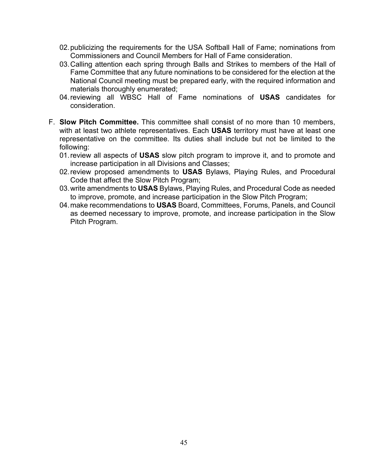- 02.publicizing the requirements for the USA Softball Hall of Fame; nominations from Commissioners and Council Members for Hall of Fame consideration.
- 03.Calling attention each spring through Balls and Strikes to members of the Hall of Fame Committee that any future nominations to be considered for the election at the National Council meeting must be prepared early, with the required information and materials thoroughly enumerated;
- 04.reviewing all WBSC Hall of Fame nominations of **USAS** candidates for consideration.
- F. **Slow Pitch Committee.** This committee shall consist of no more than 10 members, with at least two athlete representatives. Each **USAS** territory must have at least one representative on the committee. Its duties shall include but not be limited to the following:
	- 01.review all aspects of **USAS** slow pitch program to improve it, and to promote and increase participation in all Divisions and Classes;
	- 02.review proposed amendments to **USAS** Bylaws, Playing Rules, and Procedural Code that affect the Slow Pitch Program;
	- 03.write amendments to **USAS** Bylaws, Playing Rules, and Procedural Code as needed to improve, promote, and increase participation in the Slow Pitch Program;
	- 04.make recommendations to **USAS** Board, Committees, Forums, Panels, and Council as deemed necessary to improve, promote, and increase participation in the Slow Pitch Program.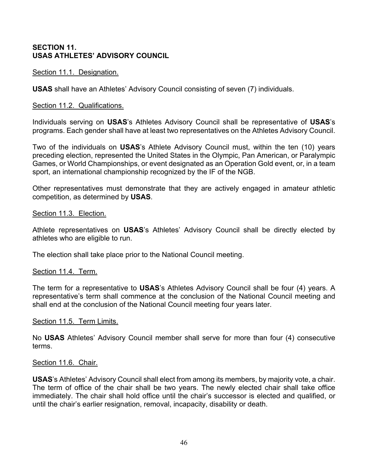# **SECTION 11. USAS ATHLETES' ADVISORY COUNCIL**

Section 11.1. Designation.

**USAS** shall have an Athletes' Advisory Council consisting of seven (7) individuals.

### Section 11.2. Qualifications.

Individuals serving on **USAS**'s Athletes Advisory Council shall be representative of **USAS**'s programs. Each gender shall have at least two representatives on the Athletes Advisory Council.

Two of the individuals on **USAS**'s Athlete Advisory Council must, within the ten (10) years preceding election, represented the United States in the Olympic, Pan American, or Paralympic Games, or World Championships, or event designated as an Operation Gold event, or, in a team sport, an international championship recognized by the IF of the NGB.

Other representatives must demonstrate that they are actively engaged in amateur athletic competition, as determined by **USAS**.

### Section 11.3. Election.

Athlete representatives on **USAS**'s Athletes' Advisory Council shall be directly elected by athletes who are eligible to run.

The election shall take place prior to the National Council meeting.

### Section 11.4. Term.

The term for a representative to **USAS**'s Athletes Advisory Council shall be four (4) years. A representative's term shall commence at the conclusion of the National Council meeting and shall end at the conclusion of the National Council meeting four years later.

### Section 11.5. Term Limits.

No **USAS** Athletes' Advisory Council member shall serve for more than four (4) consecutive terms.

### Section 11.6. Chair.

**USAS**'s Athletes' Advisory Council shall elect from among its members, by majority vote, a chair. The term of office of the chair shall be two years. The newly elected chair shall take office immediately. The chair shall hold office until the chair's successor is elected and qualified, or until the chair's earlier resignation, removal, incapacity, disability or death.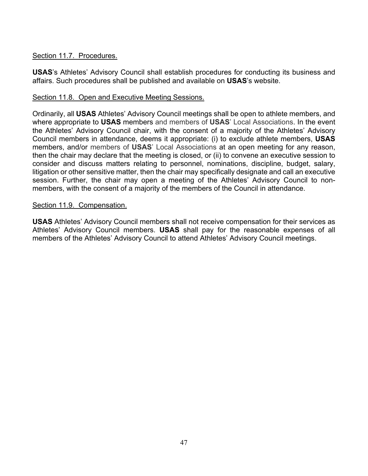# Section 11.7. Procedures.

**USAS**'s Athletes' Advisory Council shall establish procedures for conducting its business and affairs. Such procedures shall be published and available on **USAS**'s website.

# Section 11.8. Open and Executive Meeting Sessions.

Ordinarily, all **USAS** Athletes' Advisory Council meetings shall be open to athlete members, and where appropriate to **USAS** members and members of **USAS**' Local Associations. In the event the Athletes' Advisory Council chair, with the consent of a majority of the Athletes' Advisory Council members in attendance, deems it appropriate: (i) to exclude athlete members, **USAS** members, and/or members of **USAS**' Local Associations at an open meeting for any reason, then the chair may declare that the meeting is closed, or (ii) to convene an executive session to consider and discuss matters relating to personnel, nominations, discipline, budget, salary, litigation or other sensitive matter, then the chair may specifically designate and call an executive session. Further, the chair may open a meeting of the Athletes' Advisory Council to nonmembers, with the consent of a majority of the members of the Council in attendance.

## Section 11.9. Compensation.

**USAS** Athletes' Advisory Council members shall not receive compensation for their services as Athletes' Advisory Council members. **USAS** shall pay for the reasonable expenses of all members of the Athletes' Advisory Council to attend Athletes' Advisory Council meetings.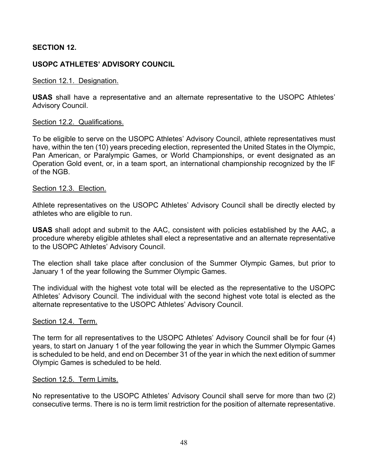# **SECTION 12.**

# **USOPC ATHLETES' ADVISORY COUNCIL**

### Section 12.1. Designation.

**USAS** shall have a representative and an alternate representative to the USOPC Athletes' Advisory Council.

### Section 12.2. Qualifications.

To be eligible to serve on the USOPC Athletes' Advisory Council, athlete representatives must have, within the ten (10) years preceding election, represented the United States in the Olympic, Pan American, or Paralympic Games, or World Championships, or event designated as an Operation Gold event, or, in a team sport, an international championship recognized by the IF of the NGB.

### Section 12.3. Election.

Athlete representatives on the USOPC Athletes' Advisory Council shall be directly elected by athletes who are eligible to run.

**USAS** shall adopt and submit to the AAC, consistent with policies established by the AAC, a procedure whereby eligible athletes shall elect a representative and an alternate representative to the USOPC Athletes' Advisory Council.

The election shall take place after conclusion of the Summer Olympic Games, but prior to January 1 of the year following the Summer Olympic Games.

The individual with the highest vote total will be elected as the representative to the USOPC Athletes' Advisory Council. The individual with the second highest vote total is elected as the alternate representative to the USOPC Athletes' Advisory Council.

### Section 12.4. Term.

The term for all representatives to the USOPC Athletes' Advisory Council shall be for four (4) years, to start on January 1 of the year following the year in which the Summer Olympic Games is scheduled to be held, and end on December 31 of the year in which the next edition of summer Olympic Games is scheduled to be held.

### Section 12.5. Term Limits.

No representative to the USOPC Athletes' Advisory Council shall serve for more than two (2) consecutive terms. There is no is term limit restriction for the position of alternate representative.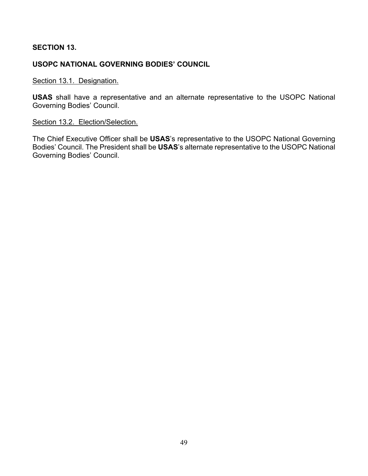# **SECTION 13.**

# **USOPC NATIONAL GOVERNING BODIES' COUNCIL**

# Section 13.1. Designation.

**USAS** shall have a representative and an alternate representative to the USOPC National Governing Bodies' Council.

### Section 13.2. Election/Selection.

The Chief Executive Officer shall be **USAS**'s representative to the USOPC National Governing Bodies' Council. The President shall be **USAS**'s alternate representative to the USOPC National Governing Bodies' Council.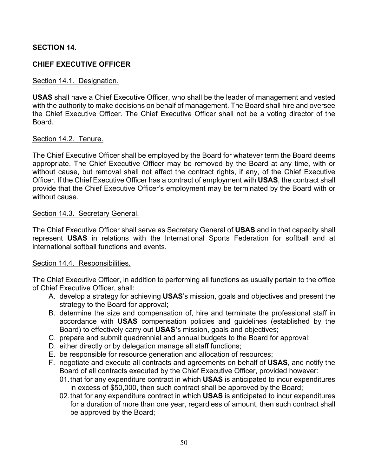# **SECTION 14.**

# **CHIEF EXECUTIVE OFFICER**

### Section 14.1. Designation.

**USAS** shall have a Chief Executive Officer, who shall be the leader of management and vested with the authority to make decisions on behalf of management. The Board shall hire and oversee the Chief Executive Officer. The Chief Executive Officer shall not be a voting director of the Board.

### Section 14.2. Tenure.

The Chief Executive Officer shall be employed by the Board for whatever term the Board deems appropriate. The Chief Executive Officer may be removed by the Board at any time, with or without cause, but removal shall not affect the contract rights, if any, of the Chief Executive Officer. If the Chief Executive Officer has a contract of employment with **USAS**, the contract shall provide that the Chief Executive Officer's employment may be terminated by the Board with or without cause.

### Section 14.3. Secretary General.

The Chief Executive Officer shall serve as Secretary General of **USAS** and in that capacity shall represent **USAS** in relations with the International Sports Federation for softball and at international softball functions and events.

### Section 14.4. Responsibilities.

The Chief Executive Officer, in addition to performing all functions as usually pertain to the office of Chief Executive Officer, shall:

- A. develop a strategy for achieving **USAS**'s mission, goals and objectives and present the strategy to the Board for approval;
- B. determine the size and compensation of, hire and terminate the professional staff in accordance with **USAS** compensation policies and guidelines (established by the Board) to effectively carry out **USAS'**s mission, goals and objectives;
- C. prepare and submit quadrennial and annual budgets to the Board for approval;
- D. either directly or by delegation manage all staff functions;
- E. be responsible for resource generation and allocation of resources;
- F. negotiate and execute all contracts and agreements on behalf of **USAS**, and notify the Board of all contracts executed by the Chief Executive Officer, provided however:
	- 01.that for any expenditure contract in which **USAS** is anticipated to incur expenditures in excess of \$50,000, then such contract shall be approved by the Board;
	- 02.that for any expenditure contract in which **USAS** is anticipated to incur expenditures for a duration of more than one year, regardless of amount, then such contract shall be approved by the Board;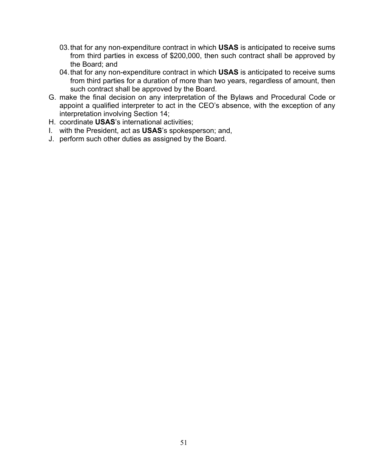- 03.that for any non-expenditure contract in which **USAS** is anticipated to receive sums from third parties in excess of \$200,000, then such contract shall be approved by the Board; and
- 04.that for any non-expenditure contract in which **USAS** is anticipated to receive sums from third parties for a duration of more than two years, regardless of amount, then such contract shall be approved by the Board.
- G. make the final decision on any interpretation of the Bylaws and Procedural Code or appoint a qualified interpreter to act in the CEO's absence, with the exception of any interpretation involving Section 14;
- H. coordinate **USAS**'s international activities;
- I. with the President, act as **USAS**'s spokesperson; and,
- J. perform such other duties as assigned by the Board.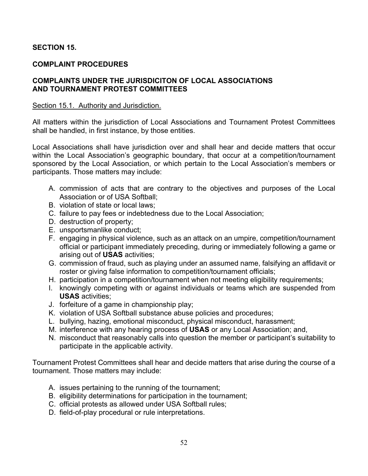# **SECTION 15.**

# **COMPLAINT PROCEDURES**

## **COMPLAINTS UNDER THE JURISDICITON OF LOCAL ASSOCIATIONS AND TOURNAMENT PROTEST COMMITTEES**

### Section 15.1. Authority and Jurisdiction.

All matters within the jurisdiction of Local Associations and Tournament Protest Committees shall be handled, in first instance, by those entities.

Local Associations shall have jurisdiction over and shall hear and decide matters that occur within the Local Association's geographic boundary, that occur at a competition/tournament sponsored by the Local Association, or which pertain to the Local Association's members or participants. Those matters may include:

- A. commission of acts that are contrary to the objectives and purposes of the Local Association or of USA Softball;
- B. violation of state or local laws;
- C. failure to pay fees or indebtedness due to the Local Association;
- D. destruction of property;
- E. unsportsmanlike conduct;
- F. engaging in physical violence, such as an attack on an umpire, competition/tournament official or participant immediately preceding, during or immediately following a game or arising out of **USAS** activities;
- G. commission of fraud, such as playing under an assumed name, falsifying an affidavit or roster or giving false information to competition/tournament officials;
- H. participation in a competition/tournament when not meeting eligibility requirements;
- I. knowingly competing with or against individuals or teams which are suspended from **USAS** activities;
- J. forfeiture of a game in championship play;
- K. violation of USA Softball substance abuse policies and procedures;
- L. bullying, hazing, emotional misconduct, physical misconduct, harassment;
- M. interference with any hearing process of **USAS** or any Local Association; and,
- N. misconduct that reasonably calls into question the member or participant's suitability to participate in the applicable activity.

Tournament Protest Committees shall hear and decide matters that arise during the course of a tournament. Those matters may include:

- A. issues pertaining to the running of the tournament;
- B. eligibility determinations for participation in the tournament;
- C. official protests as allowed under USA Softball rules;
- D. field-of-play procedural or rule interpretations.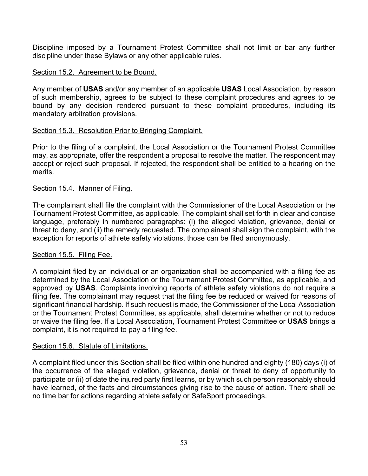Discipline imposed by a Tournament Protest Committee shall not limit or bar any further discipline under these Bylaws or any other applicable rules.

# Section 15.2. Agreement to be Bound.

Any member of **USAS** and/or any member of an applicable **USAS** Local Association, by reason of such membership, agrees to be subject to these complaint procedures and agrees to be bound by any decision rendered pursuant to these complaint procedures, including its mandatory arbitration provisions.

# Section 15.3. Resolution Prior to Bringing Complaint.

Prior to the filing of a complaint, the Local Association or the Tournament Protest Committee may, as appropriate, offer the respondent a proposal to resolve the matter. The respondent may accept or reject such proposal. If rejected, the respondent shall be entitled to a hearing on the merits.

## Section 15.4. Manner of Filing.

The complainant shall file the complaint with the Commissioner of the Local Association or the Tournament Protest Committee, as applicable. The complaint shall set forth in clear and concise language, preferably in numbered paragraphs: (i) the alleged violation, grievance, denial or threat to deny, and (ii) the remedy requested. The complainant shall sign the complaint, with the exception for reports of athlete safety violations, those can be filed anonymously.

## Section 15.5. Filing Fee.

A complaint filed by an individual or an organization shall be accompanied with a filing fee as determined by the Local Association or the Tournament Protest Committee, as applicable, and approved by **USAS**. Complaints involving reports of athlete safety violations do not require a filing fee. The complainant may request that the filing fee be reduced or waived for reasons of significant financial hardship. If such request is made, the Commissioner of the Local Association or the Tournament Protest Committee, as applicable, shall determine whether or not to reduce or waive the filing fee. If a Local Association, Tournament Protest Committee or **USAS** brings a complaint, it is not required to pay a filing fee.

## Section 15.6. Statute of Limitations.

A complaint filed under this Section shall be filed within one hundred and eighty (180) days (i) of the occurrence of the alleged violation, grievance, denial or threat to deny of opportunity to participate or (ii) of date the injured party first learns, or by which such person reasonably should have learned, of the facts and circumstances giving rise to the cause of action. There shall be no time bar for actions regarding athlete safety or SafeSport proceedings.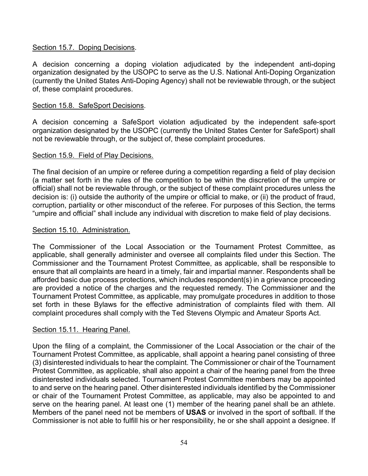# Section 15.7. Doping Decisions.

A decision concerning a doping violation adjudicated by the independent anti-doping organization designated by the USOPC to serve as the U.S. National Anti-Doping Organization (currently the United States Anti-Doping Agency) shall not be reviewable through, or the subject of, these complaint procedures.

## Section 15.8. SafeSport Decisions.

A decision concerning a SafeSport violation adjudicated by the independent safe-sport organization designated by the USOPC (currently the United States Center for SafeSport) shall not be reviewable through, or the subject of, these complaint procedures.

## Section 15.9. Field of Play Decisions.

The final decision of an umpire or referee during a competition regarding a field of play decision (a matter set forth in the rules of the competition to be within the discretion of the umpire or official) shall not be reviewable through, or the subject of these complaint procedures unless the decision is: (i) outside the authority of the umpire or official to make, or (ii) the product of fraud, corruption, partiality or other misconduct of the referee. For purposes of this Section, the terms "umpire and official" shall include any individual with discretion to make field of play decisions.

## Section 15.10. Administration.

The Commissioner of the Local Association or the Tournament Protest Committee, as applicable, shall generally administer and oversee all complaints filed under this Section. The Commissioner and the Tournament Protest Committee, as applicable, shall be responsible to ensure that all complaints are heard in a timely, fair and impartial manner. Respondents shall be afforded basic due process protections, which includes respondent(s) in a grievance proceeding are provided a notice of the charges and the requested remedy. The Commissioner and the Tournament Protest Committee, as applicable, may promulgate procedures in addition to those set forth in these Bylaws for the effective administration of complaints filed with them. All complaint procedures shall comply with the Ted Stevens Olympic and Amateur Sports Act.

## Section 15.11. Hearing Panel.

Upon the filing of a complaint, the Commissioner of the Local Association or the chair of the Tournament Protest Committee, as applicable, shall appoint a hearing panel consisting of three (3) disinterested individuals to hear the complaint. The Commissioner or chair of the Tournament Protest Committee, as applicable, shall also appoint a chair of the hearing panel from the three disinterested individuals selected. Tournament Protest Committee members may be appointed to and serve on the hearing panel. Other disinterested individuals identified by the Commissioner or chair of the Tournament Protest Committee, as applicable, may also be appointed to and serve on the hearing panel. At least one (1) member of the hearing panel shall be an athlete. Members of the panel need not be members of **USAS** or involved in the sport of softball. If the Commissioner is not able to fulfill his or her responsibility, he or she shall appoint a designee. If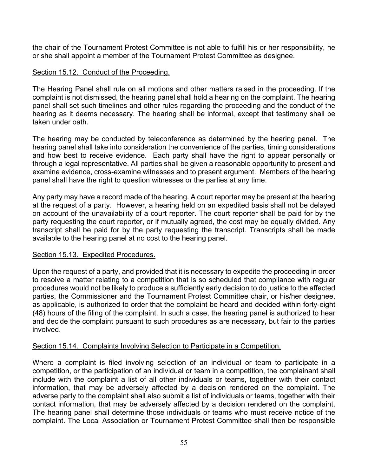the chair of the Tournament Protest Committee is not able to fulfill his or her responsibility, he or she shall appoint a member of the Tournament Protest Committee as designee.

# Section 15.12. Conduct of the Proceeding.

The Hearing Panel shall rule on all motions and other matters raised in the proceeding. If the complaint is not dismissed, the hearing panel shall hold a hearing on the complaint. The hearing panel shall set such timelines and other rules regarding the proceeding and the conduct of the hearing as it deems necessary. The hearing shall be informal, except that testimony shall be taken under oath.

The hearing may be conducted by teleconference as determined by the hearing panel. The hearing panel shall take into consideration the convenience of the parties, timing considerations and how best to receive evidence. Each party shall have the right to appear personally or through a legal representative. All parties shall be given a reasonable opportunity to present and examine evidence, cross-examine witnesses and to present argument. Members of the hearing panel shall have the right to question witnesses or the parties at any time.

Any party may have a record made of the hearing. A court reporter may be present at the hearing at the request of a party. However, a hearing held on an expedited basis shall not be delayed on account of the unavailability of a court reporter. The court reporter shall be paid for by the party requesting the court reporter, or if mutually agreed, the cost may be equally divided. Any transcript shall be paid for by the party requesting the transcript. Transcripts shall be made available to the hearing panel at no cost to the hearing panel.

## Section 15.13. Expedited Procedures.

Upon the request of a party, and provided that it is necessary to expedite the proceeding in order to resolve a matter relating to a competition that is so scheduled that compliance with regular procedures would not be likely to produce a sufficiently early decision to do justice to the affected parties, the Commissioner and the Tournament Protest Committee chair, or his/her designee, as applicable, is authorized to order that the complaint be heard and decided within forty-eight (48) hours of the filing of the complaint. In such a case, the hearing panel is authorized to hear and decide the complaint pursuant to such procedures as are necessary, but fair to the parties involved.

## Section 15.14. Complaints Involving Selection to Participate in a Competition.

Where a complaint is filed involving selection of an individual or team to participate in a competition, or the participation of an individual or team in a competition, the complainant shall include with the complaint a list of all other individuals or teams, together with their contact information, that may be adversely affected by a decision rendered on the complaint. The adverse party to the complaint shall also submit a list of individuals or teams, together with their contact information, that may be adversely affected by a decision rendered on the complaint. The hearing panel shall determine those individuals or teams who must receive notice of the complaint. The Local Association or Tournament Protest Committee shall then be responsible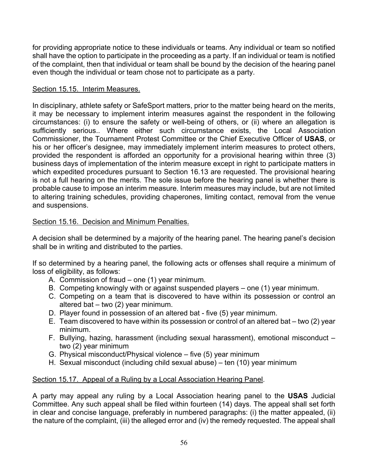for providing appropriate notice to these individuals or teams. Any individual or team so notified shall have the option to participate in the proceeding as a party. If an individual or team is notified of the complaint, then that individual or team shall be bound by the decision of the hearing panel even though the individual or team chose not to participate as a party.

# Section 15.15. Interim Measures.

In disciplinary, athlete safety or SafeSport matters, prior to the matter being heard on the merits, it may be necessary to implement interim measures against the respondent in the following circumstances: (i) to ensure the safety or well-being of others, or (ii) where an allegation is sufficiently serious.. Where either such circumstance exists, the Local Association Commissioner, the Tournament Protest Committee or the Chief Executive Officer of **USAS**, or his or her officer's designee, may immediately implement interim measures to protect others, provided the respondent is afforded an opportunity for a provisional hearing within three (3) business days of implementation of the interim measure except in right to participate matters in which expedited procedures pursuant to Section 16.13 are requested. The provisional hearing is not a full hearing on the merits. The sole issue before the hearing panel is whether there is probable cause to impose an interim measure. Interim measures may include, but are not limited to altering training schedules, providing chaperones, limiting contact, removal from the venue and suspensions.

# Section 15.16. Decision and Minimum Penalties.

A decision shall be determined by a majority of the hearing panel. The hearing panel's decision shall be in writing and distributed to the parties.

If so determined by a hearing panel, the following acts or offenses shall require a minimum of loss of eligibility, as follows:

- A. Commission of fraud one (1) year minimum.
- B. Competing knowingly with or against suspended players one (1) year minimum.
- C. Competing on a team that is discovered to have within its possession or control an altered bat – two (2) year minimum.
- D. Player found in possession of an altered bat five (5) year minimum.
- E. Team discovered to have within its possession or control of an altered bat two (2) year minimum.
- F. Bullying, hazing, harassment (including sexual harassment), emotional misconduct two (2) year minimum
- G. Physical misconduct/Physical violence five (5) year minimum
- H. Sexual misconduct (including child sexual abuse) ten (10) year minimum

# Section 15.17. Appeal of a Ruling by a Local Association Hearing Panel.

A party may appeal any ruling by a Local Association hearing panel to the **USAS** Judicial Committee. Any such appeal shall be filed within fourteen (14) days. The appeal shall set forth in clear and concise language, preferably in numbered paragraphs: (i) the matter appealed, (ii) the nature of the complaint, (iii) the alleged error and (iv) the remedy requested. The appeal shall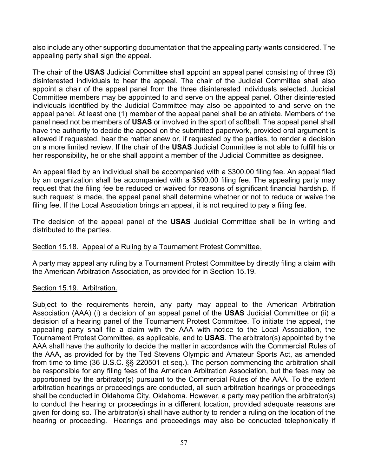also include any other supporting documentation that the appealing party wants considered. The appealing party shall sign the appeal.

The chair of the **USAS** Judicial Committee shall appoint an appeal panel consisting of three (3) disinterested individuals to hear the appeal. The chair of the Judicial Committee shall also appoint a chair of the appeal panel from the three disinterested individuals selected. Judicial Committee members may be appointed to and serve on the appeal panel. Other disinterested individuals identified by the Judicial Committee may also be appointed to and serve on the appeal panel. At least one (1) member of the appeal panel shall be an athlete. Members of the panel need not be members of **USAS** or involved in the sport of softball. The appeal panel shall have the authority to decide the appeal on the submitted paperwork, provided oral argument is allowed if requested, hear the matter anew or, if requested by the parties, to render a decision on a more limited review. If the chair of the **USAS** Judicial Committee is not able to fulfill his or her responsibility, he or she shall appoint a member of the Judicial Committee as designee.

An appeal filed by an individual shall be accompanied with a \$300.00 filing fee. An appeal filed by an organization shall be accompanied with a \$500.00 filing fee. The appealing party may request that the filing fee be reduced or waived for reasons of significant financial hardship. If such request is made, the appeal panel shall determine whether or not to reduce or waive the filing fee. If the Local Association brings an appeal, it is not required to pay a filing fee.

The decision of the appeal panel of the **USAS** Judicial Committee shall be in writing and distributed to the parties.

## Section 15.18. Appeal of a Ruling by a Tournament Protest Committee.

A party may appeal any ruling by a Tournament Protest Committee by directly filing a claim with the American Arbitration Association, as provided for in Section 15.19.

## Section 15.19. Arbitration.

Subject to the requirements herein, any party may appeal to the American Arbitration Association (AAA) (i) a decision of an appeal panel of the **USAS** Judicial Committee or (ii) a decision of a hearing panel of the Tournament Protest Committee. To initiate the appeal, the appealing party shall file a claim with the AAA with notice to the Local Association, the Tournament Protest Committee, as applicable, and to **USAS**. The arbitrator(s) appointed by the AAA shall have the authority to decide the matter in accordance with the Commercial Rules of the AAA, as provided for by the Ted Stevens Olympic and Amateur Sports Act, as amended from time to time (36 U.S.C. §§ 220501 et seq.). The person commencing the arbitration shall be responsible for any filing fees of the American Arbitration Association, but the fees may be apportioned by the arbitrator(s) pursuant to the Commercial Rules of the AAA. To the extent arbitration hearings or proceedings are conducted, all such arbitration hearings or proceedings shall be conducted in Oklahoma City, Oklahoma. However, a party may petition the arbitrator(s) to conduct the hearing or proceedings in a different location, provided adequate reasons are given for doing so. The arbitrator(s) shall have authority to render a ruling on the location of the hearing or proceeding. Hearings and proceedings may also be conducted telephonically if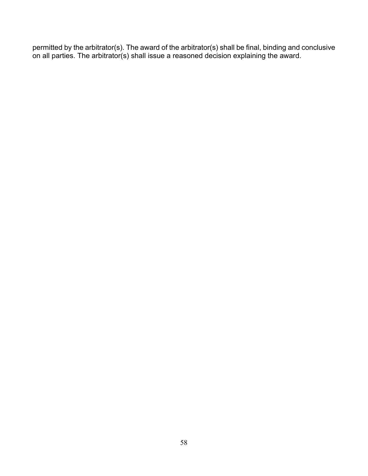permitted by the arbitrator(s). The award of the arbitrator(s) shall be final, binding and conclusive on all parties. The arbitrator(s) shall issue a reasoned decision explaining the award.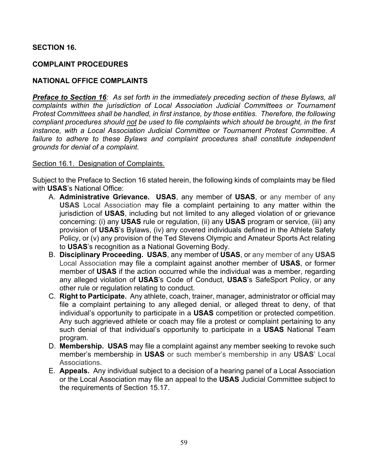# **SECTION 16.**

# **COMPLAINT PROCEDURES**

# **NATIONAL OFFICE COMPLAINTS**

*Preface to Section 16: As set forth in the immediately preceding section of these Bylaws, all complaints within the jurisdiction of Local Association Judicial Committees or Tournament Protest Committees shall be handled, in first instance, by those entities. Therefore, the following compliant procedures should not be used to file complaints which should be brought, in the first instance, with a Local Association Judicial Committee or Tournament Protest Committee. A*  failure to adhere to these Bylaws and complaint procedures shall constitute independent *grounds for denial of a complaint.*

### Section 16.1. Designation of Complaints.

Subject to the Preface to Section 16 stated herein, the following kinds of complaints may be filed with **USAS**'s National Office:

- A. **Administrative Grievance. USAS**, any member of **USAS**, or any member of any **USAS** Local Association may file a complaint pertaining to any matter within the jurisdiction of **USAS**, including but not limited to any alleged violation of or grievance concerning: (i) any **USAS** rule or regulation, (ii) any **USAS** program or service, (iii) any provision of **USAS**'s Bylaws, (iv) any covered individuals defined in the Athlete Safety Policy, or (v) any provision of the Ted Stevens Olympic and Amateur Sports Act relating to **USAS**'s recognition as a National Governing Body.
- B. **Disciplinary Proceeding. USAS**, any member of **USAS**, or any member of any **USAS** Local Association may file a complaint against another member of **USAS**, or former member of **USAS** if the action occurred while the individual was a member, regarding any alleged violation of **USAS**'s Code of Conduct, **USAS**'s SafeSport Policy, or any other rule or regulation relating to conduct.
- C. **Right to Participate.** Any athlete, coach, trainer, manager, administrator or official may file a complaint pertaining to any alleged denial, or alleged threat to deny, of that individual's opportunity to participate in a **USAS** competition or protected competition. Any such aggrieved athlete or coach may file a protest or complaint pertaining to any such denial of that individual's opportunity to participate in a **USAS** National Team program.
- D. **Membership. USAS** may file a complaint against any member seeking to revoke such member's membership in **USAS** or such member's membership in any **USAS**' Local Associations.
- E. **Appeals.** Any individual subject to a decision of a hearing panel of a Local Association or the Local Association may file an appeal to the **USAS** Judicial Committee subject to the requirements of Section 15.17.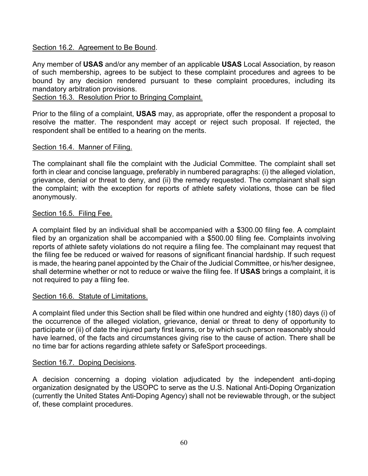# Section 16.2. Agreement to Be Bound.

Any member of **USAS** and/or any member of an applicable **USAS** Local Association, by reason of such membership, agrees to be subject to these complaint procedures and agrees to be bound by any decision rendered pursuant to these complaint procedures, including its mandatory arbitration provisions.

Section 16.3. Resolution Prior to Bringing Complaint.

Prior to the filing of a complaint, **USAS** may, as appropriate, offer the respondent a proposal to resolve the matter. The respondent may accept or reject such proposal. If rejected, the respondent shall be entitled to a hearing on the merits.

## Section 16.4. Manner of Filing.

The complainant shall file the complaint with the Judicial Committee. The complaint shall set forth in clear and concise language, preferably in numbered paragraphs: (i) the alleged violation, grievance, denial or threat to deny, and (ii) the remedy requested. The complainant shall sign the complaint; with the exception for reports of athlete safety violations, those can be filed anonymously.

## Section 16.5. Filing Fee.

A complaint filed by an individual shall be accompanied with a \$300.00 filing fee. A complaint filed by an organization shall be accompanied with a \$500.00 filing fee. Complaints involving reports of athlete safety violations do not require a filing fee. The complainant may request that the filing fee be reduced or waived for reasons of significant financial hardship. If such request is made, the hearing panel appointed by the Chair of the Judicial Committee, or his/her designee, shall determine whether or not to reduce or waive the filing fee. If **USAS** brings a complaint, it is not required to pay a filing fee.

## Section 16.6. Statute of Limitations.

A complaint filed under this Section shall be filed within one hundred and eighty (180) days (i) of the occurrence of the alleged violation, grievance, denial or threat to deny of opportunity to participate or (ii) of date the injured party first learns, or by which such person reasonably should have learned, of the facts and circumstances giving rise to the cause of action. There shall be no time bar for actions regarding athlete safety or SafeSport proceedings.

## Section 16.7. Doping Decisions.

A decision concerning a doping violation adjudicated by the independent anti-doping organization designated by the USOPC to serve as the U.S. National Anti-Doping Organization (currently the United States Anti-Doping Agency) shall not be reviewable through, or the subject of, these complaint procedures.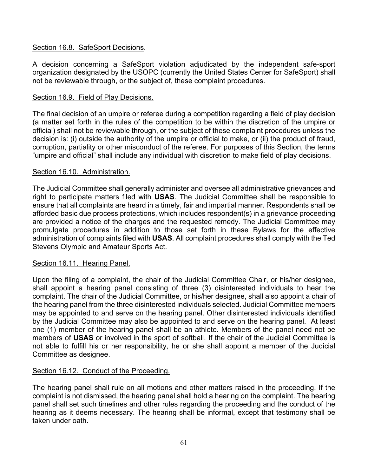# Section 16.8. SafeSport Decisions.

A decision concerning a SafeSport violation adjudicated by the independent safe-sport organization designated by the USOPC (currently the United States Center for SafeSport) shall not be reviewable through, or the subject of, these complaint procedures.

# Section 16.9. Field of Play Decisions.

The final decision of an umpire or referee during a competition regarding a field of play decision (a matter set forth in the rules of the competition to be within the discretion of the umpire or official) shall not be reviewable through, or the subject of these complaint procedures unless the decision is: (i) outside the authority of the umpire or official to make, or (ii) the product of fraud, corruption, partiality or other misconduct of the referee. For purposes of this Section, the terms "umpire and official" shall include any individual with discretion to make field of play decisions.

## Section 16.10. Administration.

The Judicial Committee shall generally administer and oversee all administrative grievances and right to participate matters filed with **USAS**. The Judicial Committee shall be responsible to ensure that all complaints are heard in a timely, fair and impartial manner. Respondents shall be afforded basic due process protections, which includes respondent(s) in a grievance proceeding are provided a notice of the charges and the requested remedy. The Judicial Committee may promulgate procedures in addition to those set forth in these Bylaws for the effective administration of complaints filed with **USAS**. All complaint procedures shall comply with the Ted Stevens Olympic and Amateur Sports Act.

## Section 16.11. Hearing Panel.

Upon the filing of a complaint, the chair of the Judicial Committee Chair, or his/her designee, shall appoint a hearing panel consisting of three (3) disinterested individuals to hear the complaint. The chair of the Judicial Committee, or his/her designee, shall also appoint a chair of the hearing panel from the three disinterested individuals selected. Judicial Committee members may be appointed to and serve on the hearing panel. Other disinterested individuals identified by the Judicial Committee may also be appointed to and serve on the hearing panel. At least one (1) member of the hearing panel shall be an athlete. Members of the panel need not be members of **USAS** or involved in the sport of softball. If the chair of the Judicial Committee is not able to fulfill his or her responsibility, he or she shall appoint a member of the Judicial Committee as designee.

## Section 16.12. Conduct of the Proceeding.

The hearing panel shall rule on all motions and other matters raised in the proceeding. If the complaint is not dismissed, the hearing panel shall hold a hearing on the complaint. The hearing panel shall set such timelines and other rules regarding the proceeding and the conduct of the hearing as it deems necessary. The hearing shall be informal, except that testimony shall be taken under oath.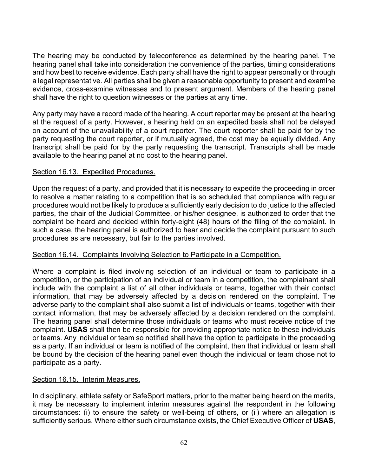The hearing may be conducted by teleconference as determined by the hearing panel. The hearing panel shall take into consideration the convenience of the parties, timing considerations and how best to receive evidence. Each party shall have the right to appear personally or through a legal representative. All parties shall be given a reasonable opportunity to present and examine evidence, cross-examine witnesses and to present argument. Members of the hearing panel shall have the right to question witnesses or the parties at any time.

Any party may have a record made of the hearing. A court reporter may be present at the hearing at the request of a party. However, a hearing held on an expedited basis shall not be delayed on account of the unavailability of a court reporter. The court reporter shall be paid for by the party requesting the court reporter, or if mutually agreed, the cost may be equally divided. Any transcript shall be paid for by the party requesting the transcript. Transcripts shall be made available to the hearing panel at no cost to the hearing panel.

## Section 16.13. Expedited Procedures.

Upon the request of a party, and provided that it is necessary to expedite the proceeding in order to resolve a matter relating to a competition that is so scheduled that compliance with regular procedures would not be likely to produce a sufficiently early decision to do justice to the affected parties, the chair of the Judicial Committee, or his/her designee, is authorized to order that the complaint be heard and decided within forty-eight (48) hours of the filing of the complaint. In such a case, the hearing panel is authorized to hear and decide the complaint pursuant to such procedures as are necessary, but fair to the parties involved.

## Section 16.14. Complaints Involving Selection to Participate in a Competition.

Where a complaint is filed involving selection of an individual or team to participate in a competition, or the participation of an individual or team in a competition, the complainant shall include with the complaint a list of all other individuals or teams, together with their contact information, that may be adversely affected by a decision rendered on the complaint. The adverse party to the complaint shall also submit a list of individuals or teams, together with their contact information, that may be adversely affected by a decision rendered on the complaint. The hearing panel shall determine those individuals or teams who must receive notice of the complaint. **USAS** shall then be responsible for providing appropriate notice to these individuals or teams. Any individual or team so notified shall have the option to participate in the proceeding as a party. If an individual or team is notified of the complaint, then that individual or team shall be bound by the decision of the hearing panel even though the individual or team chose not to participate as a party.

## Section 16.15. Interim Measures.

In disciplinary, athlete safety or SafeSport matters, prior to the matter being heard on the merits, it may be necessary to implement interim measures against the respondent in the following circumstances: (i) to ensure the safety or well-being of others, or (ii) where an allegation is sufficiently serious. Where either such circumstance exists, the Chief Executive Officer of **USAS**,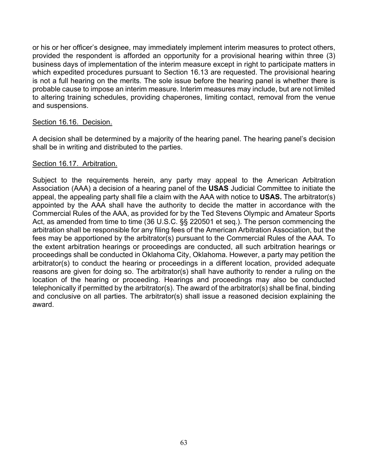or his or her officer's designee, may immediately implement interim measures to protect others, provided the respondent is afforded an opportunity for a provisional hearing within three (3) business days of implementation of the interim measure except in right to participate matters in which expedited procedures pursuant to Section 16.13 are requested. The provisional hearing is not a full hearing on the merits. The sole issue before the hearing panel is whether there is probable cause to impose an interim measure. Interim measures may include, but are not limited to altering training schedules, providing chaperones, limiting contact, removal from the venue and suspensions.

### Section 16.16. Decision.

A decision shall be determined by a majority of the hearing panel. The hearing panel's decision shall be in writing and distributed to the parties.

### Section 16.17. Arbitration.

Subject to the requirements herein, any party may appeal to the American Arbitration Association (AAA) a decision of a hearing panel of the **USAS** Judicial Committee to initiate the appeal, the appealing party shall file a claim with the AAA with notice to **USAS.** The arbitrator(s) appointed by the AAA shall have the authority to decide the matter in accordance with the Commercial Rules of the AAA, as provided for by the Ted Stevens Olympic and Amateur Sports Act, as amended from time to time (36 U.S.C. §§ 220501 et seq.). The person commencing the arbitration shall be responsible for any filing fees of the American Arbitration Association, but the fees may be apportioned by the arbitrator(s) pursuant to the Commercial Rules of the AAA. To the extent arbitration hearings or proceedings are conducted, all such arbitration hearings or proceedings shall be conducted in Oklahoma City, Oklahoma. However, a party may petition the arbitrator(s) to conduct the hearing or proceedings in a different location, provided adequate reasons are given for doing so. The arbitrator(s) shall have authority to render a ruling on the location of the hearing or proceeding. Hearings and proceedings may also be conducted telephonically if permitted by the arbitrator(s). The award of the arbitrator(s) shall be final, binding and conclusive on all parties. The arbitrator(s) shall issue a reasoned decision explaining the award.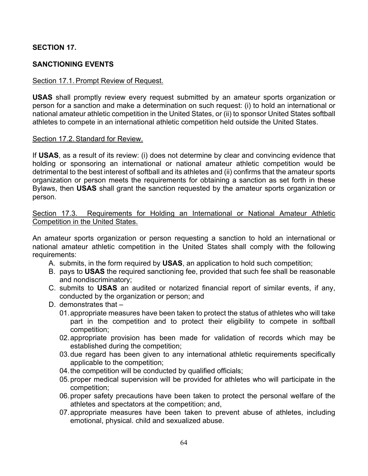# **SECTION 17.**

# **SANCTIONING EVENTS**

### Section 17.1. Prompt Review of Request.

**USAS** shall promptly review every request submitted by an amateur sports organization or person for a sanction and make a determination on such request: (i) to hold an international or national amateur athletic competition in the United States, or (ii) to sponsor United States softball athletes to compete in an international athletic competition held outside the United States.

### Section 17.2. Standard for Review.

If **USAS**, as a result of its review: (i) does not determine by clear and convincing evidence that holding or sponsoring an international or national amateur athletic competition would be detrimental to the best interest of softball and its athletes and (ii) confirms that the amateur sports organization or person meets the requirements for obtaining a sanction as set forth in these Bylaws, then **USAS** shall grant the sanction requested by the amateur sports organization or person.

### Section 17.3. Requirements for Holding an International or National Amateur Athletic Competition in the United States.

An amateur sports organization or person requesting a sanction to hold an international or national amateur athletic competition in the United States shall comply with the following requirements:

- A. submits, in the form required by **USAS**, an application to hold such competition;
- B. pays to **USAS** the required sanctioning fee, provided that such fee shall be reasonable and nondiscriminatory;
- C. submits to **USAS** an audited or notarized financial report of similar events, if any, conducted by the organization or person; and
- D. demonstrates that
	- 01.appropriate measures have been taken to protect the status of athletes who will take part in the competition and to protect their eligibility to compete in softball competition;
	- 02.appropriate provision has been made for validation of records which may be established during the competition;
	- 03.due regard has been given to any international athletic requirements specifically applicable to the competition;
	- 04.the competition will be conducted by qualified officials;
	- 05.proper medical supervision will be provided for athletes who will participate in the competition;
	- 06.proper safety precautions have been taken to protect the personal welfare of the athletes and spectators at the competition; and,
	- 07.appropriate measures have been taken to prevent abuse of athletes, including emotional, physical. child and sexualized abuse.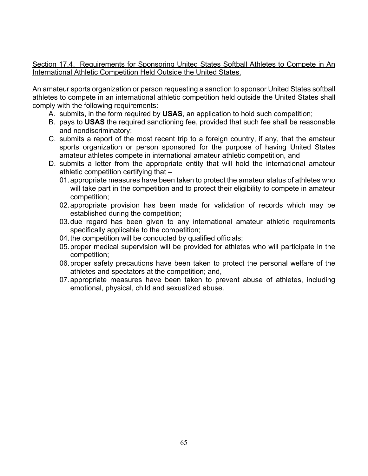Section 17.4. Requirements for Sponsoring United States Softball Athletes to Compete in An International Athletic Competition Held Outside the United States.

An amateur sports organization or person requesting a sanction to sponsor United States softball athletes to compete in an international athletic competition held outside the United States shall comply with the following requirements:

- A. submits, in the form required by **USAS**, an application to hold such competition;
- B. pays to **USAS** the required sanctioning fee, provided that such fee shall be reasonable and nondiscriminatory;
- C. submits a report of the most recent trip to a foreign country, if any, that the amateur sports organization or person sponsored for the purpose of having United States amateur athletes compete in international amateur athletic competition, and
- D. submits a letter from the appropriate entity that will hold the international amateur athletic competition certifying that –
	- 01.appropriate measures have been taken to protect the amateur status of athletes who will take part in the competition and to protect their eligibility to compete in amateur competition;
	- 02.appropriate provision has been made for validation of records which may be established during the competition;
	- 03.due regard has been given to any international amateur athletic requirements specifically applicable to the competition;
	- 04. the competition will be conducted by qualified officials;
	- 05.proper medical supervision will be provided for athletes who will participate in the competition;
	- 06.proper safety precautions have been taken to protect the personal welfare of the athletes and spectators at the competition; and,
	- 07.appropriate measures have been taken to prevent abuse of athletes, including emotional, physical, child and sexualized abuse.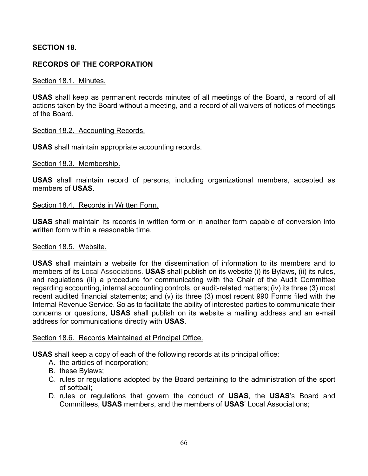# **SECTION 18.**

# **RECORDS OF THE CORPORATION**

### Section 18.1. Minutes.

**USAS** shall keep as permanent records minutes of all meetings of the Board, a record of all actions taken by the Board without a meeting, and a record of all waivers of notices of meetings of the Board.

### Section 18.2. Accounting Records.

**USAS** shall maintain appropriate accounting records.

### Section 18.3. Membership.

**USAS** shall maintain record of persons, including organizational members, accepted as members of **USAS**.

### Section 18.4. Records in Written Form.

**USAS** shall maintain its records in written form or in another form capable of conversion into written form within a reasonable time.

### Section 18.5. Website.

**USAS** shall maintain a website for the dissemination of information to its members and to members of its Local Associations. **USAS** shall publish on its website (i) its Bylaws, (ii) its rules, and regulations (iii) a procedure for communicating with the Chair of the Audit Committee regarding accounting, internal accounting controls, or audit-related matters; (iv) its three (3) most recent audited financial statements; and (v) its three (3) most recent 990 Forms filed with the Internal Revenue Service. So as to facilitate the ability of interested parties to communicate their concerns or questions, **USAS** shall publish on its website a mailing address and an e-mail address for communications directly with **USAS**.

## Section 18.6. Records Maintained at Principal Office.

**USAS** shall keep a copy of each of the following records at its principal office:

- A. the articles of incorporation;
- B. these Bylaws;
- C. rules or regulations adopted by the Board pertaining to the administration of the sport of softball;
- D. rules or regulations that govern the conduct of **USAS**, the **USAS**'s Board and Committees, **USAS** members, and the members of **USAS**' Local Associations;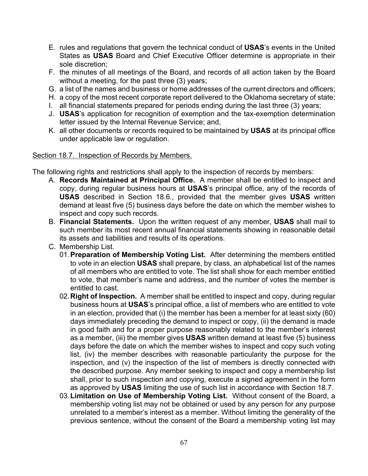- E. rules and regulations that govern the technical conduct of **USAS**'s events in the United States as **USAS** Board and Chief Executive Officer determine is appropriate in their sole discretion;
- F. the minutes of all meetings of the Board, and records of all action taken by the Board without a meeting, for the past three (3) years;
- G. a list of the names and business or home addresses of the current directors and officers;
- H. a copy of the most recent corporate report delivered to the Oklahoma secretary of state;
- I. all financial statements prepared for periods ending during the last three (3) years;
- J. **USAS**'s application for recognition of exemption and the tax-exemption determination letter issued by the Internal Revenue Service; and,
- K. all other documents or records required to be maintained by **USAS** at its principal office under applicable law or regulation.

## Section 18.7. Inspection of Records by Members.

The following rights and restrictions shall apply to the inspection of records by members:

- A. **Records Maintained at Principal Office.** A member shall be entitled to inspect and copy, during regular business hours at **USAS**'s principal office, any of the records of **USAS** described in Section 18.6., provided that the member gives **USAS** written demand at least five (5) business days before the date on which the member wishes to inspect and copy such records.
- B. **Financial Statements.** Upon the written request of any member, **USAS** shall mail to such member its most recent annual financial statements showing in reasonable detail its assets and liabilities and results of its operations.
- C. Membership List.
	- 01.**Preparation of Membership Voting List.** After determining the members entitled to vote in an election **USAS** shall prepare, by class, an alphabetical list of the names of all members who are entitled to vote. The list shall show for each member entitled to vote, that member's name and address, and the number of votes the member is entitled to cast.
	- 02.**Right of Inspection.** A member shall be entitled to inspect and copy, during regular business hours at **USAS**'s principal office, a list of members who are entitled to vote in an election, provided that (i) the member has been a member for at least sixty (60) days immediately preceding the demand to inspect or copy, (ii) the demand is made in good faith and for a proper purpose reasonably related to the member's interest as a member, (iii) the member gives **USAS** written demand at least five (5) business days before the date on which the member wishes to inspect and copy such voting list, (iv) the member describes with reasonable particularity the purpose for the inspection, and (v) the inspection of the list of members is directly connected with the described purpose. Any member seeking to inspect and copy a membership list shall, prior to such inspection and copying, execute a signed agreement in the form as approved by **USAS** limiting the use of such list in accordance with Section 18.7.
	- 03.**Limitation on Use of Membership Voting List.** Without consent of the Board, a membership voting list may not be obtained or used by any person for any purpose unrelated to a member's interest as a member. Without limiting the generality of the previous sentence, without the consent of the Board a membership voting list may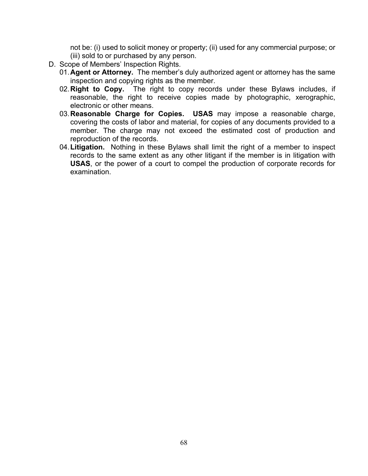not be: (i) used to solicit money or property; (ii) used for any commercial purpose; or (iii) sold to or purchased by any person.

- D. Scope of Members' Inspection Rights.
	- 01.**Agent or Attorney.** The member's duly authorized agent or attorney has the same inspection and copying rights as the member.
	- 02.**Right to Copy.** The right to copy records under these Bylaws includes, if reasonable, the right to receive copies made by photographic, xerographic, electronic or other means.
	- 03.**Reasonable Charge for Copies. USAS** may impose a reasonable charge, covering the costs of labor and material, for copies of any documents provided to a member. The charge may not exceed the estimated cost of production and reproduction of the records.
	- 04.**Litigation.** Nothing in these Bylaws shall limit the right of a member to inspect records to the same extent as any other litigant if the member is in litigation with **USAS**, or the power of a court to compel the production of corporate records for examination.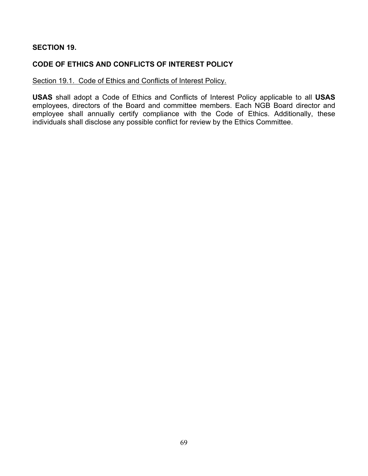# **SECTION 19.**

# **CODE OF ETHICS AND CONFLICTS OF INTEREST POLICY**

# Section 19.1. Code of Ethics and Conflicts of Interest Policy.

**USAS** shall adopt a Code of Ethics and Conflicts of Interest Policy applicable to all **USAS** employees, directors of the Board and committee members. Each NGB Board director and employee shall annually certify compliance with the Code of Ethics. Additionally, these individuals shall disclose any possible conflict for review by the Ethics Committee.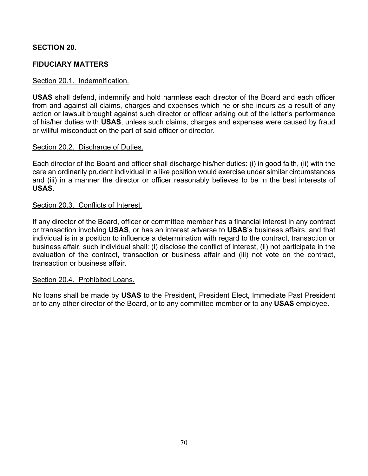# **SECTION 20.**

# **FIDUCIARY MATTERS**

### Section 20.1. Indemnification.

**USAS** shall defend, indemnify and hold harmless each director of the Board and each officer from and against all claims, charges and expenses which he or she incurs as a result of any action or lawsuit brought against such director or officer arising out of the latter's performance of his/her duties with **USAS**, unless such claims, charges and expenses were caused by fraud or willful misconduct on the part of said officer or director.

### Section 20.2. Discharge of Duties.

Each director of the Board and officer shall discharge his/her duties: (i) in good faith, (ii) with the care an ordinarily prudent individual in a like position would exercise under similar circumstances and (iii) in a manner the director or officer reasonably believes to be in the best interests of **USAS**.

### Section 20.3. Conflicts of Interest.

If any director of the Board, officer or committee member has a financial interest in any contract or transaction involving **USAS**, or has an interest adverse to **USAS**'s business affairs, and that individual is in a position to influence a determination with regard to the contract, transaction or business affair, such individual shall: (i) disclose the conflict of interest, (ii) not participate in the evaluation of the contract, transaction or business affair and (iii) not vote on the contract, transaction or business affair.

### Section 20.4. Prohibited Loans.

No loans shall be made by **USAS** to the President, President Elect, Immediate Past President or to any other director of the Board, or to any committee member or to any **USAS** employee.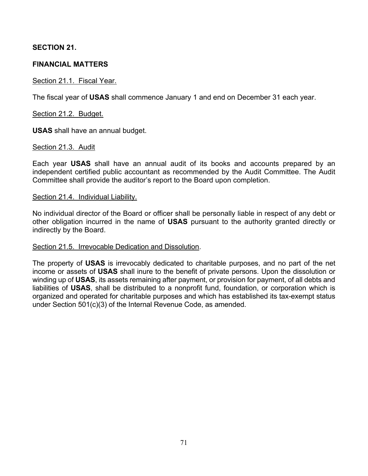# **SECTION 21.**

# **FINANCIAL MATTERS**

## Section 21.1. Fiscal Year.

The fiscal year of **USAS** shall commence January 1 and end on December 31 each year.

Section 21.2. Budget.

**USAS** shall have an annual budget.

## Section 21.3. Audit

Each year **USAS** shall have an annual audit of its books and accounts prepared by an independent certified public accountant as recommended by the Audit Committee. The Audit Committee shall provide the auditor's report to the Board upon completion.

### Section 21.4. Individual Liability.

No individual director of the Board or officer shall be personally liable in respect of any debt or other obligation incurred in the name of **USAS** pursuant to the authority granted directly or indirectly by the Board.

## Section 21.5. Irrevocable Dedication and Dissolution.

The property of **USAS** is irrevocably dedicated to charitable purposes, and no part of the net income or assets of **USAS** shall inure to the benefit of private persons. Upon the dissolution or winding up of **USAS**, its assets remaining after payment, or provision for payment, of all debts and liabilities of **USAS**, shall be distributed to a nonprofit fund, foundation, or corporation which is organized and operated for charitable purposes and which has established its tax-exempt status under Section 501(c)(3) of the Internal Revenue Code, as amended.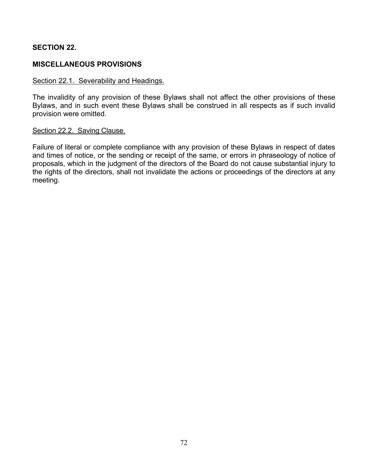# **SECTION 22.**

# **MISCELLANEOUS PROVISIONS**

### Section 22.1. Severability and Headings.

The invalidity of any provision of these Bylaws shall not affect the other provisions of these Bylaws, and in such event these Bylaws shall be construed in all respects as if such invalid provision were omitted.

### Section 22.2. Saving Clause.

Failure of literal or complete compliance with any provision of these Bylaws in respect of dates and times of notice, or the sending or receipt of the same, or errors in phraseology of notice of proposals, which in the judgment of the directors of the Board do not cause substantial injury to the rights of the directors, shall not invalidate the actions or proceedings of the directors at any meeting.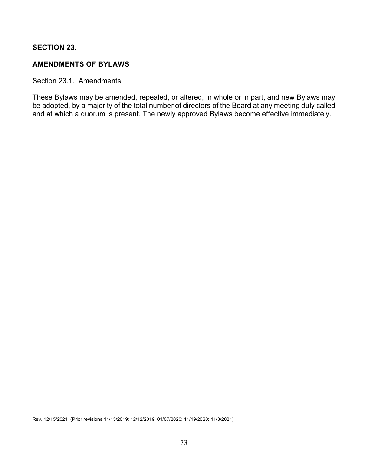## **SECTION 23.**

## **AMENDMENTS OF BYLAWS**

## Section 23.1. Amendments

These Bylaws may be amended, repealed, or altered, in whole or in part, and new Bylaws may be adopted, by a majority of the total number of directors of the Board at any meeting duly called and at which a quorum is present. The newly approved Bylaws become effective immediately.

Rev. 12/15/2021 (Prior revisions 11/15/2019; 12/12/2019; 01/07/2020; 11/19/2020; 11/3/2021)